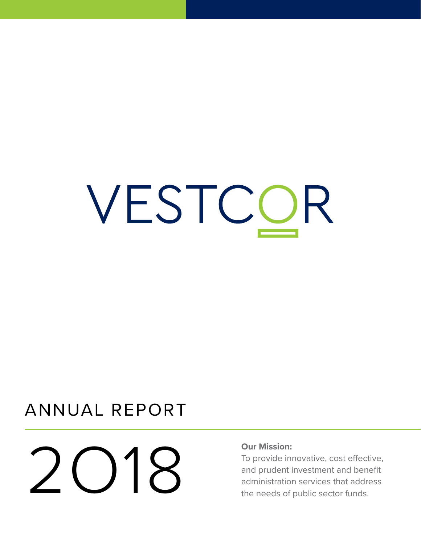# VESTCOR

# ANNUAL REPORT

# Our Mission:<br>
To provide im<br>
and prudent in<br>
administration

To provide innovative, cost effective, and prudent investment and benefit administration services that address the needs of public sector funds.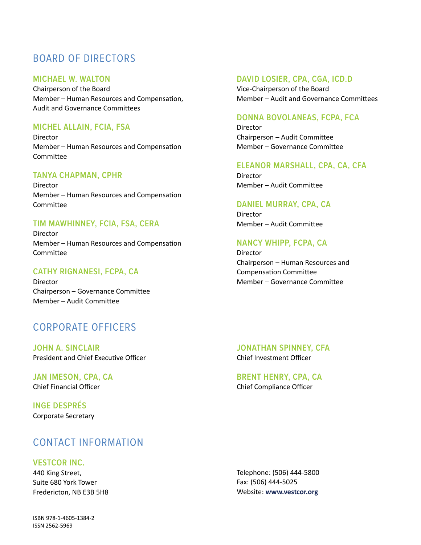# BOARD OF DIRECTORS

### **MICHAEL W. WALTON**

Chairperson of the Board Member – Human Resources and Compensation, Audit and Governance Committees

### **MICHEL ALLAIN, FCIA, FSA**

Director Member – Human Resources and Compensation Committee

### **TANYA CHAPMAN, CPHR**

Director Member – Human Resources and Compensation Committee

### **TIM MAWHINNEY, FCIA, FSA, CERA**

Director Member – Human Resources and Compensation Committee

### **CATHY RIGNANESI, FCPA, CA**

Director Chairperson – Governance Committee Member – Audit Committee

### CORPORATE OFFICERS

**JOHN A. SINCLAIR** President and Chief Executive Officer

**JAN IMESON, CPA, CA** Chief Financial Officer

**INGE DESPRÉS** Corporate Secretary

### CONTACT INFORMATION

### **VESTCOR INC.**

440 King Street, Suite 680 York Tower Fredericton, NB E3B 5H8

ISBN 978-1-4605-1384-2 ISSN 2562-5969

### **DAVID LOSIER, CPA, CGA, ICD.D**

Vice-Chairperson of the Board Member – Audit and Governance Committees

### **DONNA BOVOLANEAS, FCPA, FCA**

Director Chairperson – Audit Committee Member – Governance Committee

### **ELEANOR MARSHALL, CPA, CA, CFA**

Director Member – Audit Committee

### **DANIEL MURRAY, CPA, CA**

Director Member – Audit Committee

### **NANCY WHIPP, FCPA, CA**

Director Chairperson – Human Resources and Compensation Committee Member – Governance Committee

**JONATHAN SPINNEY, CFA** Chief Investment Officer

**BRENT HENRY, CPA, CA** Chief Compliance Officer

Telephone: (506) 444-5800 Fax: (506) 444-5025 Website: **www.vestcor.org**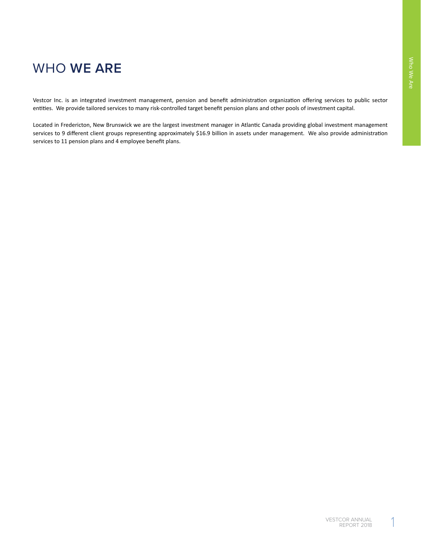# WHO **WE ARE**

Vestcor Inc. is an integrated investment management, pension and benefit administration organization offering services to public sector entities. We provide tailored services to many risk-controlled target benefit pension plans and other pools of investment capital.

Located in Fredericton, New Brunswick we are the largest investment manager in Atlantic Canada providing global investment management services to 9 different client groups representing approximately \$16.9 billion in assets under management. We also provide administration services to 11 pension plans and 4 employee benefit plans.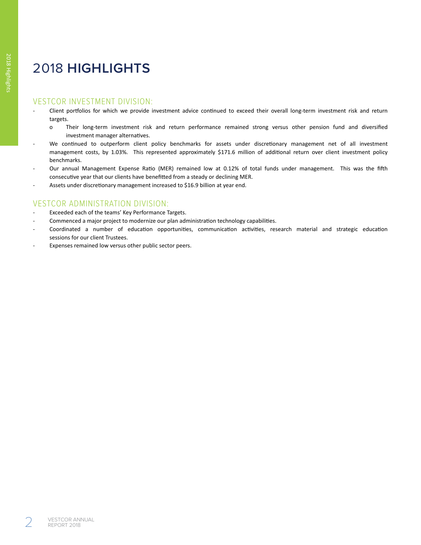# 2018 **HIGHLIGHTS**

### VESTCOR INVESTMENT DIVISION:

- Client portfolios for which we provide investment advice continued to exceed their overall long-term investment risk and return targets.
	- o Their long-term investment risk and return performance remained strong versus other pension fund and diversified investment manager alternatives.
- We continued to outperform client policy benchmarks for assets under discretionary management net of all investment management costs, by 1.03%. This represented approximately \$171.6 million of additional return over client investment policy benchmarks.
- Our annual Management Expense Ratio (MER) remained low at 0.12% of total funds under management. This was the fifth consecutive year that our clients have benefitted from a steady or declining MER.
- Assets under discretionary management increased to \$16.9 billion at year end.

### VESTCOR ADMINISTRATION DIVISION:

- Exceeded each of the teams' Key Performance Targets.
- Commenced a major project to modernize our plan administration technology capabilities.
- Coordinated a number of education opportunities, communication activities, research material and strategic education sessions for our client Trustees.
- Expenses remained low versus other public sector peers.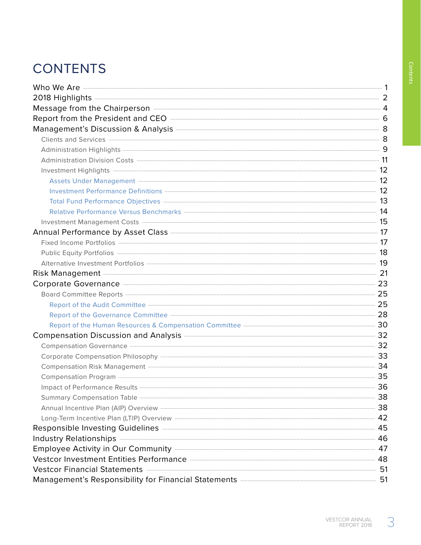# **CONTENTS**

| Who We Are <b>continuum contract to the Contract of the Contract of Contract of Contract of Contract of Contract of Contract of Tensils and Tensils and Tensils and Tensils and Tensils and Tensils and Tensils and Tensils and </b> |  |
|--------------------------------------------------------------------------------------------------------------------------------------------------------------------------------------------------------------------------------------|--|
| 2018 Highlights 2018 Highlights 2018 Highlights 2018 Highlights 2018 Highlights 2018 Highlights 2018 1999                                                                                                                            |  |
| Message from the Chairperson <b>Commission Commission</b> 4                                                                                                                                                                          |  |
|                                                                                                                                                                                                                                      |  |
| Management's Discussion & Analysis <b>Commission Commission</b> and B                                                                                                                                                                |  |
|                                                                                                                                                                                                                                      |  |
|                                                                                                                                                                                                                                      |  |
|                                                                                                                                                                                                                                      |  |
|                                                                                                                                                                                                                                      |  |
| Assets Under Management <b>Construction Control and Construction</b> 12                                                                                                                                                              |  |
|                                                                                                                                                                                                                                      |  |
|                                                                                                                                                                                                                                      |  |
|                                                                                                                                                                                                                                      |  |
|                                                                                                                                                                                                                                      |  |
| Annual Performance by Asset Class <b>Manual Annual Performance</b> 17                                                                                                                                                                |  |
|                                                                                                                                                                                                                                      |  |
| Public Equity Portfolios <b>Manual Communities</b> 18                                                                                                                                                                                |  |
|                                                                                                                                                                                                                                      |  |
| Risk Management <b>Management</b> 21                                                                                                                                                                                                 |  |
| Corporate Governance <b>Commission Commission</b> 23                                                                                                                                                                                 |  |
| Board Committee Reports <b>Committee Reports</b> 25                                                                                                                                                                                  |  |
|                                                                                                                                                                                                                                      |  |
|                                                                                                                                                                                                                                      |  |
|                                                                                                                                                                                                                                      |  |
| Compensation Discussion and Analysis <b>Machinese Strategie and Analysis</b> 32                                                                                                                                                      |  |
| Compensation Governance <b>Entrarrow Compensation</b> 32                                                                                                                                                                             |  |
|                                                                                                                                                                                                                                      |  |
| Compensation Risk Management <b>Compensation</b> Risk Management <b>Compensation</b> 34                                                                                                                                              |  |
|                                                                                                                                                                                                                                      |  |
| Impact of Performance Results <b>Constitute of the Constantine Constantine Constantine Constantine Constantine Constantine Constantine Constantine Constantine Constantine Constantine Constantine Constantine Constantine Const</b> |  |
|                                                                                                                                                                                                                                      |  |
| Annual Incentive Plan (AIP) Overview <b>Construction</b> Construction Construction Construction Construction Construction Construction Construction Construction Construction Construction Construction Construction Construction C  |  |
| Long-Term Incentive Plan (LTIP) Overview <b>Construction</b> Construction Construction Construction Construction Const                                                                                                               |  |
| Responsible Investing Guidelines <b>Manual Community and Service 2018</b> 45                                                                                                                                                         |  |
| Industry Relationships <b>Executive Contract Contract Contract Contract Contract Contract Contract Contract Contract Contract Contract Contract Contract Contract Contract Contract Contract Contract Contract Contract Contract</b> |  |
| Employee Activity in Our Community <b>Employee Activity</b> in Our Community <b>All and Activity</b>                                                                                                                                 |  |
|                                                                                                                                                                                                                                      |  |
| Vestcor Financial Statements <b>Executive Statements</b> 51                                                                                                                                                                          |  |
| Management's Responsibility for Financial Statements <b>Manual Community Constructs</b> 51                                                                                                                                           |  |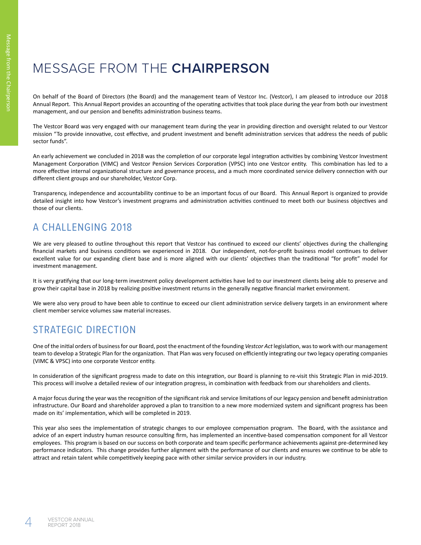# MESSAGE FROM THE **CHAIRPERSON**

On behalf of the Board of Directors (the Board) and the management team of Vestcor Inc. (Vestcor), I am pleased to introduce our 2018 Annual Report. This Annual Report provides an accounting of the operating activities that took place during the year from both our investment management, and our pension and benefits administration business teams.

The Vestcor Board was very engaged with our management team during the year in providing direction and oversight related to our Vestcor mission "To provide innovative, cost effective, and prudent investment and benefit administration services that address the needs of public sector funds".

An early achievement we concluded in 2018 was the completion of our corporate legal integration activities by combining Vestcor Investment Management Corporation (VIMC) and Vestcor Pension Services Corporation (VPSC) into one Vestcor entity. This combination has led to a more effective internal organizational structure and governance process, and a much more coordinated service delivery connection with our different client groups and our shareholder, Vestcor Corp.

Transparency, independence and accountability continue to be an important focus of our Board. This Annual Report is organized to provide detailed insight into how Vestcor's investment programs and administration activities continued to meet both our business objectives and those of our clients.

# A CHALLENGING 2018

We are very pleased to outline throughout this report that Vestcor has continued to exceed our clients' objectives during the challenging financial markets and business conditions we experienced in 2018. Our independent, not-for-profit business model continues to deliver excellent value for our expanding client base and is more aligned with our clients' objectives than the traditional "for profit" model for investment management.

It is very gratifying that our long-term investment policy development activities have led to our investment clients being able to preserve and grow their capital base in 2018 by realizing positive investment returns in the generally negative financial market environment.

We were also very proud to have been able to continue to exceed our client administration service delivery targets in an environment where client member service volumes saw material increases.

# STRATEGIC DIRECTION

One of the initial orders of business for our Board, post the enactment of the founding *Vestcor Act* legislation, was to work with our management team to develop a Strategic Plan for the organization. That Plan was very focused on efficiently integrating our two legacy operating companies (VIMC & VPSC) into one corporate Vestcor entity.

In consideration of the significant progress made to date on this integration, our Board is planning to re-visit this Strategic Plan in mid-2019. This process will involve a detailed review of our integration progress, in combination with feedback from our shareholders and clients.

A major focus during the year was the recognition of the significant risk and service limitations of our legacy pension and benefit administration infrastructure. Our Board and shareholder approved a plan to transition to a new more modernized system and significant progress has been made on its' implementation, which will be completed in 2019.

This year also sees the implementation of strategic changes to our employee compensation program. The Board, with the assistance and advice of an expert industry human resource consulting firm, has implemented an incentive-based compensation component for all Vestcor employees. This program is based on our success on both corporate and team specific performance achievements against pre-determined key performance indicators. This change provides further alignment with the performance of our clients and ensures we continue to be able to attract and retain talent while competitively keeping pace with other similar service providers in our industry.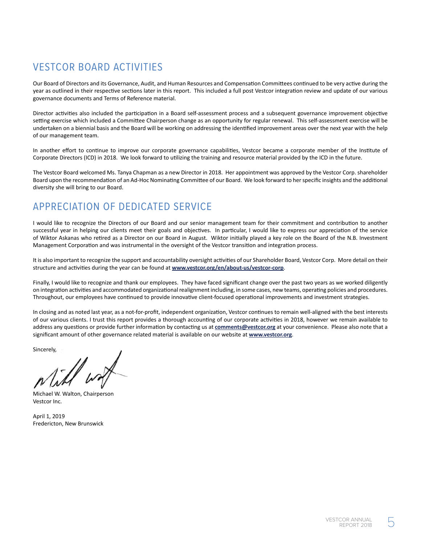# VESTCOR BOARD ACTIVITIES

Our Board of Directors and its Governance, Audit, and Human Resources and Compensation Committees continued to be very active during the year as outlined in their respective sections later in this report. This included a full post Vestcor integration review and update of our various governance documents and Terms of Reference material.

Director activities also included the participation in a Board self-assessment process and a subsequent governance improvement objective setting exercise which included a Committee Chairperson change as an opportunity for regular renewal. This self-assessment exercise will be undertaken on a biennial basis and the Board will be working on addressing the identified improvement areas over the next year with the help of our management team.

In another effort to continue to improve our corporate governance capabilities, Vestcor became a corporate member of the Institute of Corporate Directors (ICD) in 2018. We look forward to utilizing the training and resource material provided by the ICD in the future.

The Vestcor Board welcomed Ms. Tanya Chapman as a new Director in 2018. Her appointment was approved by the Vestcor Corp. shareholder Board upon the recommendation of an Ad-Hoc Nominating Committee of our Board. We look forward to her specific insights and the additional diversity she will bring to our Board.

# APPRECIATION OF DEDICATED SERVICE

I would like to recognize the Directors of our Board and our senior management team for their commitment and contribution to another successful year in helping our clients meet their goals and objectives. In particular, I would like to express our appreciation of the service of Wiktor Askanas who retired as a Director on our Board in August. Wiktor initially played a key role on the Board of the N.B. Investment Management Corporation and was instrumental in the oversight of the Vestcor transition and integration process.

It is also important to recognize the support and accountability oversight activities of our Shareholder Board, Vestcor Corp. More detail on their structure and activities during the year can be found at **www.vestcor.org/en/about-us/vestcor-corp**.

Finally, I would like to recognize and thank our employees. They have faced significant change over the past two years as we worked diligently on integration activities and accommodated organizational realignment including, in some cases, new teams, operating policies and procedures. Throughout, our employees have continued to provide innovative client-focused operational improvements and investment strategies.

In closing and as noted last year, as a not-for-profit, independent organization, Vestcor continues to remain well-aligned with the best interests of our various clients. I trust this report provides a thorough accounting of our corporate activities in 2018, however we remain available to address any questions or provide further information by contacting us at **comments@vestcor.org** at your convenience. Please also note that a significant amount of other governance related material is available on our website at **www.vestcor.org**.

Sincerely,

Michael W. Walton, Chairperson Vestcor Inc.

April 1, 2019 Fredericton, New Brunswick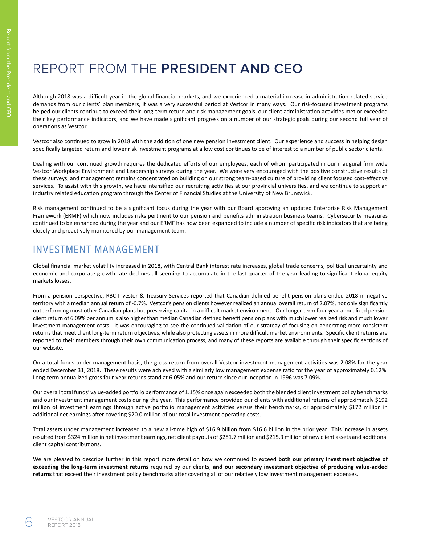# REPORT FROM THE **PRESIDENT AND CEO**

Although 2018 was a difficult year in the global financial markets, and we experienced a material increase in administration-related service demands from our clients' plan members, it was a very successful period at Vestcor in many ways. Our risk-focused investment programs helped our clients continue to exceed their long-term return and risk management goals, our client administration activities met or exceeded their key performance indicators, and we have made significant progress on a number of our strategic goals during our second full year of operations as Vestcor.

Vestcor also continued to grow in 2018 with the addition of one new pension investment client. Our experience and success in helping design specifically targeted return and lower risk investment programs at a low cost continues to be of interest to a number of public sector clients.

Dealing with our continued growth requires the dedicated efforts of our employees, each of whom participated in our inaugural firm wide Vestcor Workplace Environment and Leadership surveys during the year. We were very encouraged with the positive constructive results of these surveys, and management remains concentrated on building on our strong team-based culture of providing client focused cost-effective services. To assist with this growth, we have intensified our recruiting activities at our provincial universities, and we continue to support an industry related education program through the Center of Financial Studies at the University of New Brunswick.

Risk management continued to be a significant focus during the year with our Board approving an updated Enterprise Risk Management Framework (ERMF) which now includes risks pertinent to our pension and benefits administration business teams. Cybersecurity measures continued to be enhanced during the year and our ERMF has now been expanded to include a number of specific risk indicators that are being closely and proactively monitored by our management team.

### INVESTMENT MANAGEMENT

Global financial market volatility increased in 2018, with Central Bank interest rate increases, global trade concerns, political uncertainty and economic and corporate growth rate declines all seeming to accumulate in the last quarter of the year leading to significant global equity markets losses.

From a pension perspective, RBC Investor & Treasury Services reported that Canadian defined benefit pension plans ended 2018 in negative territory with a median annual return of -0.7%. Vestcor's pension clients however realized an annual overall return of 2.07%, not only significantly outperforming most other Canadian plans but preserving capital in a difficult market environment. Our longer-term four-year annualized pension client return of 6.09% per annum is also higher than median Canadian defined benefit pension plans with much lower realized risk and much lower investment management costs. It was encouraging to see the continued validation of our strategy of focusing on generating more consistent returns that meet client long-term return objectives, while also protecting assets in more difficult market environments. Specific client returns are reported to their members through their own communication process, and many of these reports are available through their specific sections of our website.

On a total funds under management basis, the gross return from overall Vestcor investment management activities was 2.08% for the year ended December 31, 2018. These results were achieved with a similarly low management expense ratio for the year of approximately 0.12%. Long-term annualized gross four-year returns stand at 6.05% and our return since our inception in 1996 was 7.09%.

Our overall total funds' value-added portfolio performance of 1.15% once again exceeded both the blended client investment policy benchmarks and our investment management costs during the year. This performance provided our clients with additional returns of approximately \$192 million of investment earnings through active portfolio management activities versus their benchmarks, or approximately \$172 million in additional net earnings after covering \$20.0 million of our total investment operating costs.

Total assets under management increased to a new all-time high of \$16.9 billion from \$16.6 billion in the prior year. This increase in assets resulted from \$324 million in net investment earnings, net client payouts of \$281.7 million and \$215.3 million of new client assets and additional client capital contributions.

We are pleased to describe further in this report more detail on how we continued to exceed **both our primary investment objective of exceeding the long-term investment returns** required by our clients, **and our secondary investment objective of producing value-added returns** that exceed their investment policy benchmarks after covering all of our relatively low investment management expenses.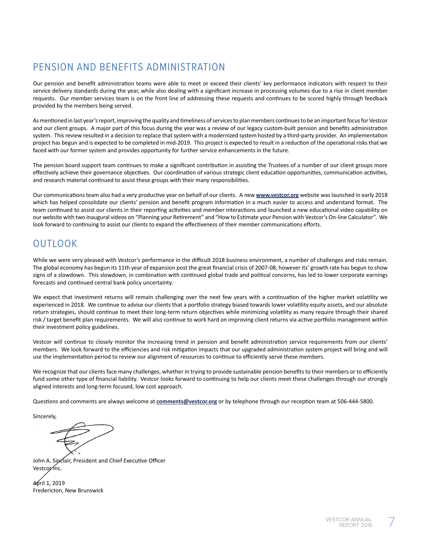# PENSION AND BENEFITS ADMINISTRATION

Our pension and benefit administration teams were able to meet or exceed their clients' key performance indicators with respect to their service delivery standards during the year, while also dealing with a significant increase in processing volumes due to a rise in client member requests. Our member services team is on the front line of addressing these requests and continues to be scored highly through feedback provided by the members being served.

As mentioned in last year's report, improving the quality and timeliness of services to plan members continues to be an important focus for Vestcor and our client groups. A major part of this focus during the year was a review of our legacy custom-built pension and benefits administration system. This review resulted in a decision to replace that system with a modernized system hosted by a third-party provider. An implementation project has begun and is expected to be completed in mid-2019. This project is expected to result in a reduction of the operational risks that we faced with our former system and provides opportunity for further service enhancements in the future.

The pension board support team continues to make a significant contribution in assisting the Trustees of a number of our client groups more effectively achieve their governance objectives. Our coordination of various strategic client education opportunities, communication activities, and research material continued to assist these groups with their many responsibilities.

Our communications team also had a very productive year on behalf of our clients. A new **www.vestcor.org** website was launched in early 2018 which has helped consolidate our clients' pension and benefit program information in a much easier to access and understand format. The team continued to assist our clients in their reporting activities and member interactions and launched a new educational video capability on our website with two inaugural videos on "Planning your Retirement" and "How to Estimate your Pension with Vestcor's On-line Calculator". We look forward to continuing to assist our clients to expand the effectiveness of their member communications efforts.

# OUTLOOK

While we were very pleased with Vestcor's performance in the difficult 2018 business environment, a number of challenges and risks remain. The global economy has begun its 11th year of expansion post the great financial crisis of 2007-08, however its' growth rate has begun to show signs of a slowdown. This slowdown, in combination with continued global trade and political concerns, has led to lower corporate earnings forecasts and continued central bank policy uncertainty.

We expect that investment returns will remain challenging over the next few years with a continuation of the higher market volatility we experienced in 2018. We continue to advise our clients that a portfolio strategy biased towards lower volatility equity assets, and our absolute return strategies, should continue to meet their long-term return objectives while minimizing volatility as many require through their shared risk / target benefit plan requirements. We will also continue to work hard on improving client returns via active portfolio management within their investment policy guidelines.

Vestcor will continue to closely monitor the increasing trend in pension and benefit administration service requirements from our clients' members. We look forward to the efficiencies and risk mitigation impacts that our upgraded administration system project will bring and will use the implementation period to review our alignment of resources to continue to efficiently serve these members.

We recognize that our clients face many challenges, whether in trying to provide sustainable pension benefits to their members or to efficiently fund some other type of financial liability. Vestcor looks forward to continuing to help our clients meet these challenges through our strongly aligned interests and long-term focused, low cost approach.

Questions and comments are always welcome at **comments@vestcor.org** or by telephone through our reception team at 506-444-5800.

Sincerely,

John A. Sinclair, President and Chief Executive Officer Vestcor Inc.

April 1, 2019 Fredericton, New Brunswick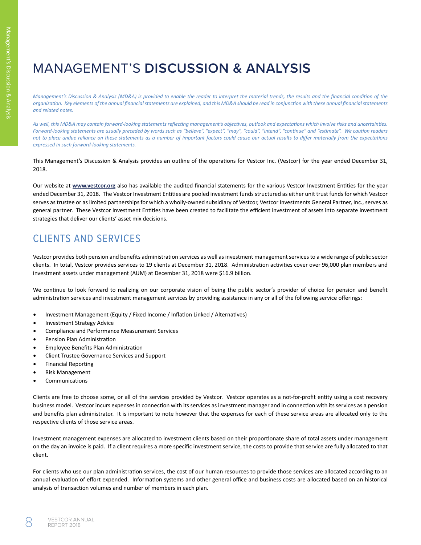# MANAGEMENT'S **DISCUSSION & ANALYSIS**

*Management's Discussion & Analysis (MD&A) is provided to enable the reader to interpret the material trends, the results and the financial condition of the organization. Key elements of the annual financial statements are explained, and this MD&A should be read in conjunction with these annual financial statements and related notes.* 

*As well, this MD&A may contain forward-looking statements reflecting management's objectives, outlook and expectations which involve risks and uncertainties. Forward-looking statements are usually preceded by words such as "believe", "expect", "may", "could", "intend", "continue" and "estimate". We caution readers not to place undue reliance on these statements as a number of important factors could cause our actual results to differ materially from the expectations expressed in such forward-looking statements.*

This Management's Discussion & Analysis provides an outline of the operations for Vestcor Inc. (Vestcor) for the year ended December 31, 2018.

Our website at **www.vestcor.org** also has available the audited financial statements for the various Vestcor Investment Entities for the year ended December 31, 2018. The Vestcor Investment Entities are pooled investment funds structured as either unit trust funds for which Vestcor serves as trustee or as limited partnerships for which a wholly-owned subsidiary of Vestcor, Vestcor Investments General Partner, Inc., serves as general partner. These Vestcor Investment Entities have been created to facilitate the efficient investment of assets into separate investment strategies that deliver our clients' asset mix decisions.

# CLIENTS AND SERVICES

Vestcor provides both pension and benefits administration services as well as investment management services to a wide range of public sector clients. In total, Vestcor provides services to 19 clients at December 31, 2018. Administration activities cover over 96,000 plan members and investment assets under management (AUM) at December 31, 2018 were \$16.9 billion.

We continue to look forward to realizing on our corporate vision of being the public sector's provider of choice for pension and benefit administration services and investment management services by providing assistance in any or all of the following service offerings:

- Investment Management (Equity / Fixed Income / Inflation Linked / Alternatives)
- Investment Strategy Advice
- Compliance and Performance Measurement Services
- Pension Plan Administration
- Employee Benefits Plan Administration
- Client Trustee Governance Services and Support
- Financial Reporting
- Risk Management
- Communications

Clients are free to choose some, or all of the services provided by Vestcor. Vestcor operates as a not-for-profit entity using a cost recovery business model. Vestcor incurs expenses in connection with its services as investment manager and in connection with its services as a pension and benefits plan administrator. It is important to note however that the expenses for each of these service areas are allocated only to the respective clients of those service areas.

Investment management expenses are allocated to investment clients based on their proportionate share of total assets under management on the day an invoice is paid. If a client requires a more specific investment service, the costs to provide that service are fully allocated to that client.

For clients who use our plan administration services, the cost of our human resources to provide those services are allocated according to an annual evaluation of effort expended. Information systems and other general office and business costs are allocated based on an historical analysis of transaction volumes and number of members in each plan.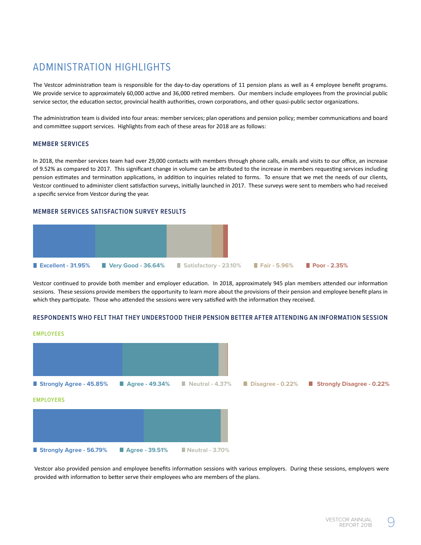# ADMINISTRATION HIGHLIGHTS

The Vestcor administration team is responsible for the day-to-day operations of 11 pension plans as well as 4 employee benefit programs. We provide service to approximately 60,000 active and 36,000 retired members. Our members include employees from the provincial public service sector, the education sector, provincial health authorities, crown corporations, and other quasi-public sector organizations.

The administration team is divided into four areas: member services; plan operations and pension policy; member communications and board and committee support services. Highlights from each of these areas for 2018 are as follows:

### **MEMBER SERVICES**

In 2018, the member services team had over 29,000 contacts with members through phone calls, emails and visits to our office, an increase of 9.52% as compared to 2017. This significant change in volume can be attributed to the increase in members requesting services including pension estimates and termination applications, in addition to inquiries related to forms. To ensure that we met the needs of our clients, Vestcor continued to administer client satisfaction surveys, initially launched in 2017. These surveys were sent to members who had received a specific service from Vestcor during the year.

### **MEMBER SERVICES SATISFACTION SURVEY RESULTS**



Vestcor continued to provide both member and employer education. In 2018, approximately 945 plan members attended our information sessions. These sessions provide members the opportunity to learn more about the provisions of their pension and employee benefit plans in which they participate. Those who attended the sessions were very satisfied with the information they received.

### **RESPONDENTS WHO FELT THAT THEY UNDERSTOOD THEIR PENSION BETTER AFTER ATTENDING AN INFORMATION SESSION**

#### **EMPLOYEES**



Vestcor also provided pension and employee benefits information sessions with various employers. During these sessions, employers were provided with information to better serve their employees who are members of the plans.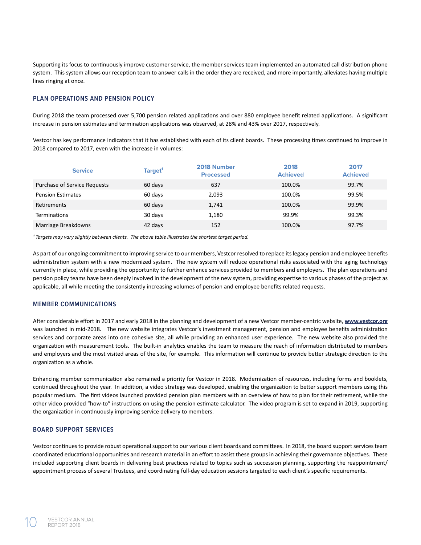Supporting its focus to continuously improve customer service, the member services team implemented an automated call distribution phone system. This system allows our reception team to answer calls in the order they are received, and more importantly, alleviates having multiple lines ringing at once.

### **PLAN OPERATIONS AND PENSION POLICY**

During 2018 the team processed over 5,700 pension related applications and over 880 employee benefit related applications. A significant increase in pension estimates and termination applications was observed, at 28% and 43% over 2017, respectively.

Vestcor has key performance indicators that it has established with each of its client boards. These processing times continued to improve in 2018 compared to 2017, even with the increase in volumes:

| <b>Service</b>               | Target <sup>1</sup> | 2018 Number<br><b>Processed</b> | 2018<br><b>Achieved</b> | 2017<br><b>Achieved</b> |
|------------------------------|---------------------|---------------------------------|-------------------------|-------------------------|
| Purchase of Service Requests | 60 days             | 637                             | 100.0%                  | 99.7%                   |
| <b>Pension Estimates</b>     | 60 days             | 2,093                           | 100.0%                  | 99.5%                   |
| <b>Retirements</b>           | 60 days             | 1,741                           | 100.0%                  | 99.9%                   |
| <b>Terminations</b>          | 30 days             | 1,180                           | 99.9%                   | 99.3%                   |
| Marriage Breakdowns          | 42 days             | 152                             | 100.0%                  | 97.7%                   |

<sup>1</sup> Targets may vary slightly between clients. The above table illustrates the shortest target period.

As part of our ongoing commitment to improving service to our members, Vestcor resolved to replace its legacy pension and employee benefits administration system with a new modernized system. The new system will reduce operational risks associated with the aging technology currently in place, while providing the opportunity to further enhance services provided to members and employers. The plan operations and pension policy teams have been deeply involved in the development of the new system, providing expertise to various phases of the project as applicable, all while meeting the consistently increasing volumes of pension and employee benefits related requests.

### **MEMBER COMMUNICATIONS**

After considerable effort in 2017 and early 2018 in the planning and development of a new Vestcor member-centric website, **www.vestcor.org**  was launched in mid-2018. The new website integrates Vestcor's investment management, pension and employee benefits administration services and corporate areas into one cohesive site, all while providing an enhanced user experience. The new website also provided the organization with measurement tools. The built-in analytics enables the team to measure the reach of information distributed to members and employers and the most visited areas of the site, for example. This information will continue to provide better strategic direction to the organization as a whole.

Enhancing member communication also remained a priority for Vestcor in 2018. Modernization of resources, including forms and booklets, continued throughout the year. In addition, a video strategy was developed, enabling the organization to better support members using this popular medium. The first videos launched provided pension plan members with an overview of how to plan for their retirement, while the other video provided "how-to" instructions on using the pension estimate calculator. The video program is set to expand in 2019, supporting the organization in continuously improving service delivery to members.

### **BOARD SUPPORT SERVICES**

Vestcor continues to provide robust operational support to our various client boards and committees. In 2018, the board support services team coordinated educational opportunities and research material in an effort to assist these groups in achieving their governance objectives. These included supporting client boards in delivering best practices related to topics such as succession planning, supporting the reappointment/ appointment process of several Trustees, and coordinating full-day education sessions targeted to each client's specific requirements.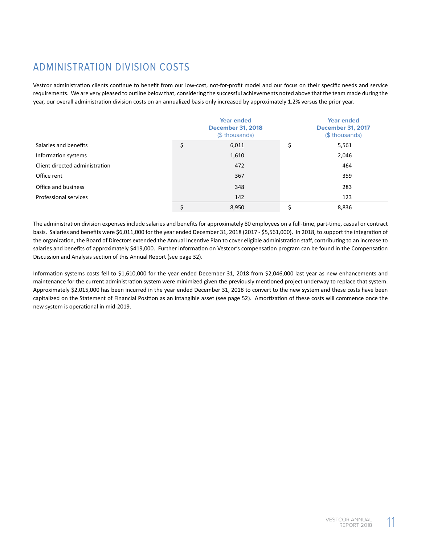# ADMINISTRATION DIVISION COSTS

Vestcor administration clients continue to benefit from our low-cost, not-for-profit model and our focus on their specific needs and service requirements. We are very pleased to outline below that, considering the successful achievements noted above that the team made during the year, our overall administration division costs on an annualized basis only increased by approximately 1.2% versus the prior year.

|                                | <b>Year ended</b><br><b>December 31, 2018</b><br>(\$ thousands) |    | <b>Year ended</b><br><b>December 31, 2017</b><br>(\$ thousands) |
|--------------------------------|-----------------------------------------------------------------|----|-----------------------------------------------------------------|
| Salaries and benefits          | \$<br>6,011                                                     | \$ | 5,561                                                           |
| Information systems            | 1,610                                                           |    | 2,046                                                           |
| Client directed administration | 472                                                             |    | 464                                                             |
| Office rent                    | 367                                                             |    | 359                                                             |
| Office and business            | 348                                                             |    | 283                                                             |
| Professional services          | 142                                                             |    | 123                                                             |
|                                | 8,950                                                           | Ś  | 8,836                                                           |

The administration division expenses include salaries and benefits for approximately 80 employees on a full-time, part-time, casual or contract basis. Salaries and benefits were \$6,011,000 for the year ended December 31, 2018 (2017 - \$5,561,000). In 2018, to support the integration of the organization, the Board of Directors extended the Annual Incentive Plan to cover eligible administration staff, contributing to an increase to salaries and benefits of approximately \$419,000. Further information on Vestcor's compensation program can be found in the Compensation Discussion and Analysis section of this Annual Report (see page 32).

Information systems costs fell to \$1,610,000 for the year ended December 31, 2018 from \$2,046,000 last year as new enhancements and maintenance for the current administration system were minimized given the previously mentioned project underway to replace that system. Approximately \$2,015,000 has been incurred in the year ended December 31, 2018 to convert to the new system and these costs have been capitalized on the Statement of Financial Position as an intangible asset (see page 52). Amortization of these costs will commence once the new system is operational in mid-2019.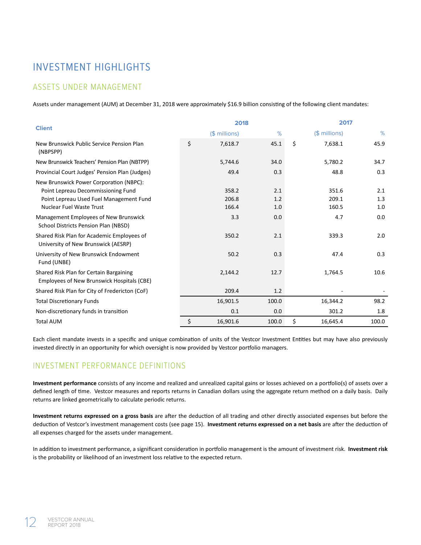# INVESTMENT HIGHLIGHTS

### ASSETS UNDER MANAGEMENT

Assets under management (AUM) at December 31, 2018 were approximately \$16.9 billion consisting of the following client mandates:

| <b>Client</b>                                                                                                                                               |    | 2018                    |                   |    | 2017                    |                   |  |
|-------------------------------------------------------------------------------------------------------------------------------------------------------------|----|-------------------------|-------------------|----|-------------------------|-------------------|--|
|                                                                                                                                                             |    | $($$ millions)          | %                 |    | (\$ millions)           | %                 |  |
| New Brunswick Public Service Pension Plan<br>(NBPSPP)                                                                                                       | \$ | 7,618.7                 | 45.1              | \$ | 7,638.1                 | 45.9              |  |
| New Brunswick Teachers' Pension Plan (NBTPP)                                                                                                                |    | 5,744.6                 | 34.0              |    | 5,780.2                 | 34.7              |  |
| Provincial Court Judges' Pension Plan (Judges)                                                                                                              |    | 49.4                    | 0.3               |    | 48.8                    | 0.3               |  |
| New Brunswick Power Corporation (NBPC):<br>Point Lepreau Decommissioning Fund<br>Point Lepreau Used Fuel Management Fund<br><b>Nuclear Fuel Waste Trust</b> |    | 358.2<br>206.8<br>166.4 | 2.1<br>1.2<br>1.0 |    | 351.6<br>209.1<br>160.5 | 2.1<br>1.3<br>1.0 |  |
| Management Employees of New Brunswick<br>School Districts Pension Plan (NBSD)                                                                               |    | 3.3                     | 0.0               |    | 4.7                     | 0.0               |  |
| Shared Risk Plan for Academic Employees of<br>University of New Brunswick (AESRP)                                                                           |    | 350.2                   | 2.1               |    | 339.3                   | 2.0               |  |
| University of New Brunswick Endowment<br>Fund (UNBE)                                                                                                        |    | 50.2                    | 0.3               |    | 47.4                    | 0.3               |  |
| Shared Risk Plan for Certain Bargaining<br>Employees of New Brunswick Hospitals (CBE)                                                                       |    | 2,144.2                 | 12.7              |    | 1,764.5                 | 10.6              |  |
| Shared Risk Plan for City of Fredericton (CoF)                                                                                                              |    | 209.4                   | 1.2               |    |                         |                   |  |
| <b>Total Discretionary Funds</b>                                                                                                                            |    | 16,901.5                | 100.0             |    | 16,344.2                | 98.2              |  |
| Non-discretionary funds in transition                                                                                                                       |    | 0.1                     | 0.0               |    | 301.2                   | 1.8               |  |
| <b>Total AUM</b>                                                                                                                                            | \$ | 16,901.6                | 100.0             | \$ | 16,645.4                | 100.0             |  |

Each client mandate invests in a specific and unique combination of units of the Vestcor Investment Entities but may have also previously invested directly in an opportunity for which oversight is now provided by Vestcor portfolio managers.

### INVESTMENT PERFORMANCE DEFINITIONS

**Investment performance** consists of any income and realized and unrealized capital gains or losses achieved on a portfolio(s) of assets over a defined length of time. Vestcor measures and reports returns in Canadian dollars using the aggregate return method on a daily basis. Daily returns are linked geometrically to calculate periodic returns.

**Investment returns expressed on a gross basis** are after the deduction of all trading and other directly associated expenses but before the deduction of Vestcor's investment management costs (see page 15). **Investment returns expressed on a net basis** are after the deduction of all expenses charged for the assets under management.

In addition to investment performance, a significant consideration in portfolio management is the amount of investment risk. **Investment risk**  is the probability or likelihood of an investment loss relative to the expected return.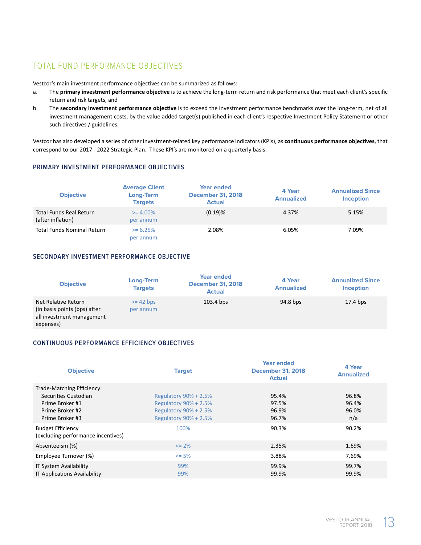### TOTAL FUND PERFORMANCE OBJECTIVES

Vestcor's main investment performance objectives can be summarized as follows:

- a. The **primary investment performance objective** is to achieve the long-term return and risk performance that meet each client's specific return and risk targets, and
- b. The **secondary investment performance objective** is to exceed the investment performance benchmarks over the long-term, net of all investment management costs, by the value added target(s) published in each client's respective Investment Policy Statement or other such directives / guidelines.

Vestcor has also developed a series of other investment-related key performance indicators (KPIs), as **continuous performance objectives**, that correspond to our 2017 - 2022 Strategic Plan. These KPI's are monitored on a quarterly basis.

### **PRIMARY INVESTMENT PERFORMANCE OBJECTIVES**

| <b>Objective</b>                             | <b>Average Client</b><br>Long-Term<br><b>Targets</b> | <b>Year ended</b><br><b>December 31, 2018</b><br><b>Actual</b> | 4 Year<br><b>Annualized</b> | <b>Annualized Since</b><br><b>Inception</b> |
|----------------------------------------------|------------------------------------------------------|----------------------------------------------------------------|-----------------------------|---------------------------------------------|
| Total Funds Real Return<br>(after inflation) | $>= 4.00\%$<br>per annum                             | $(0.19)$ %                                                     | 4.37%                       | 5.15%                                       |
| <b>Total Funds Nominal Return</b>            | $>= 6.25\%$<br>per annum                             | 2.08%                                                          | 6.05%                       | 7.09%                                       |

### **SECONDARY INVESTMENT PERFORMANCE OBJECTIVE**

| <b>Objective</b>                                                                              | Long-Term<br><b>Targets</b> | <b>Year ended</b><br><b>December 31, 2018</b><br><b>Actual</b> | 4 Year<br><b>Annualized</b> | <b>Annualized Since</b><br><b>Inception</b> |
|-----------------------------------------------------------------------------------------------|-----------------------------|----------------------------------------------------------------|-----------------------------|---------------------------------------------|
| Net Relative Return<br>(in basis points (bps) after<br>all investment management<br>expenses) | $>= 42$ bps<br>per annum    | $103.4$ bps                                                    | 94.8 bps                    | $17.4$ bps                                  |

### **CONTINUOUS PERFORMANCE EFFICIENCY OBJECTIVES**

| <b>Objective</b>                                                                                            | <b>Target</b>                                                                                                      | <b>Year ended</b><br><b>December 31, 2018</b><br><b>Actual</b> | 4 Year<br><b>Annualized</b>    |
|-------------------------------------------------------------------------------------------------------------|--------------------------------------------------------------------------------------------------------------------|----------------------------------------------------------------|--------------------------------|
| Trade-Matching Efficiency:<br>Securities Custodian<br>Prime Broker #1<br>Prime Broker #2<br>Prime Broker #3 | Regulatory $90\% + 2.5\%$<br><b>Regulatory 90% + 2.5%</b><br><b>Regulatory 90% + 2.5%</b><br>Regulatory 90% + 2.5% | 95.4%<br>97.5%<br>96.9%<br>96.7%                               | 96.8%<br>96.4%<br>96.0%<br>n/a |
| <b>Budget Efficiency</b><br>(excluding performance incentives)                                              | 100%                                                                                                               | 90.3%                                                          | 90.2%                          |
| Absenteeism (%)                                                                                             | $\leq$ 2%                                                                                                          | 2.35%                                                          | 1.69%                          |
| Employee Turnover (%)                                                                                       | $\leq$ 5%                                                                                                          | 3.88%                                                          | 7.69%                          |
| IT System Availability<br><b>IT Applications Availability</b>                                               | 99%<br>99%                                                                                                         | 99.9%<br>99.9%                                                 | 99.7%<br>99.9%                 |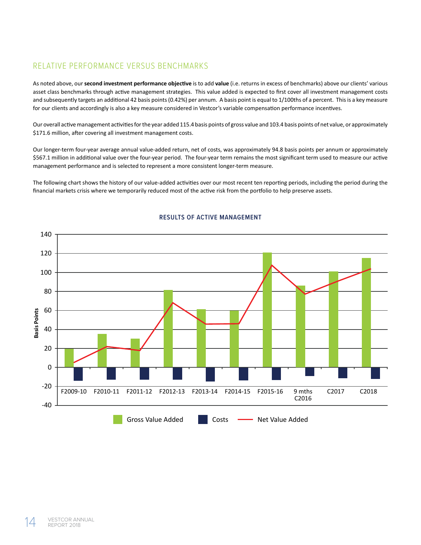### RELATIVE PERFORMANCE VERSUS BENCHMARKS

As noted above, our **second investment performance objective** is to add **value** (i.e. returns in excess of benchmarks) above our clients' various asset class benchmarks through active management strategies. This value added is expected to first cover all investment management costs and subsequently targets an additional 42 basis points (0.42%) per annum. A basis point is equal to 1/100ths of a percent. This is a key measure for our clients and accordingly is also a key measure considered in Vestcor's variable compensation performance incentives.

Our overall active management activities for the year added 115.4 basis points of gross value and 103.4 basis points of net value, or approximately \$171.6 million, after covering all investment management costs.

Our longer-term four-year average annual value-added return, net of costs, was approximately 94.8 basis points per annum or approximately \$567.1 million in additional value over the four-year period. The four-year term remains the most significant term used to measure our active management performance and is selected to represent a more consistent longer-term measure.

The following chart shows the history of our value-added activities over our most recent ten reporting periods, including the period during the financial markets crisis where we temporarily reduced most of the active risk from the portfolio to help preserve assets.



### **RESULTS OF ACTIVE MANAGEMENT**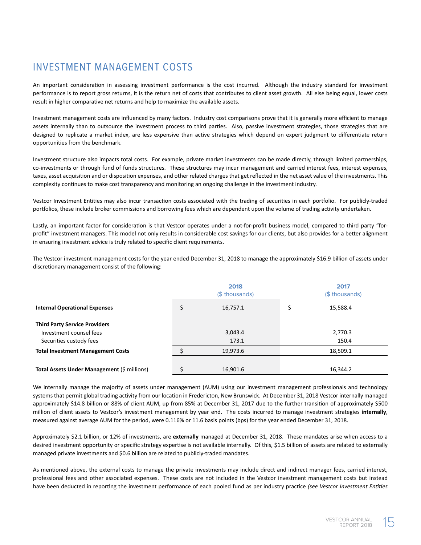# INVESTMENT MANAGEMENT COSTS

An important consideration in assessing investment performance is the cost incurred. Although the industry standard for investment performance is to report gross returns, it is the return net of costs that contributes to client asset growth. All else being equal, lower costs result in higher comparative net returns and help to maximize the available assets.

Investment management costs are influenced by many factors. Industry cost comparisons prove that it is generally more efficient to manage assets internally than to outsource the investment process to third parties. Also, passive investment strategies, those strategies that are designed to replicate a market index, are less expensive than active strategies which depend on expert judgment to differentiate return opportunities from the benchmark.

Investment structure also impacts total costs. For example, private market investments can be made directly, through limited partnerships, co-investments or through fund of funds structures. These structures may incur management and carried interest fees, interest expenses, taxes, asset acquisition and or disposition expenses, and other related charges that get reflected in the net asset value of the investments. This complexity continues to make cost transparency and monitoring an ongoing challenge in the investment industry.

Vestcor Investment Entities may also incur transaction costs associated with the trading of securities in each portfolio. For publicly-traded portfolios, these include broker commissions and borrowing fees which are dependent upon the volume of trading activity undertaken.

Lastly, an important factor for consideration is that Vestcor operates under a not-for-profit business model, compared to third party "forprofit" investment managers. This model not only results in considerable cost savings for our clients, but also provides for a better alignment in ensuring investment advice is truly related to specific client requirements.

The Vestcor investment management costs for the year ended December 31, 2018 to manage the approximately \$16.9 billion of assets under discretionary management consist of the following:

|                                                                 | 2018<br>(\$ thousands) |          |    | 2017<br>(\$ thousands) |  |  |
|-----------------------------------------------------------------|------------------------|----------|----|------------------------|--|--|
| <b>Internal Operational Expenses</b>                            |                        | 16,757.1 | \$ | 15,588.4               |  |  |
| <b>Third Party Service Providers</b><br>Investment counsel fees |                        | 3,043.4  |    | 2,770.3                |  |  |
| Securities custody fees                                         |                        | 173.1    |    | 150.4                  |  |  |
| <b>Total Investment Management Costs</b>                        |                        | 19,973.6 |    | 18,509.1               |  |  |
| Total Assets Under Management (\$ millions)                     |                        | 16,901.6 |    | 16,344.2               |  |  |

We internally manage the majority of assets under management (AUM) using our investment management professionals and technology systems that permit global trading activity from our location in Fredericton, New Brunswick. At December 31, 2018 Vestcor internally managed approximately \$14.8 billion or 88% of client AUM, up from 85% at December 31, 2017 due to the further transition of approximately \$500 million of client assets to Vestcor's investment management by year end. The costs incurred to manage investment strategies **internally**, measured against average AUM for the period, were 0.116% or 11.6 basis points (bps) for the year ended December 31, 2018.

Approximately \$2.1 billion, or 12% of investments, are **externally** managed at December 31, 2018. These mandates arise when access to a desired investment opportunity or specific strategy expertise is not available internally. Of this, \$1.5 billion of assets are related to externally managed private investments and \$0.6 billion are related to publicly-traded mandates.

As mentioned above, the external costs to manage the private investments may include direct and indirect manager fees, carried interest, professional fees and other associated expenses. These costs are not included in the Vestcor investment management costs but instead have been deducted in reporting the investment performance of each pooled fund as per industry practice *(see Vestcor Investment Entities*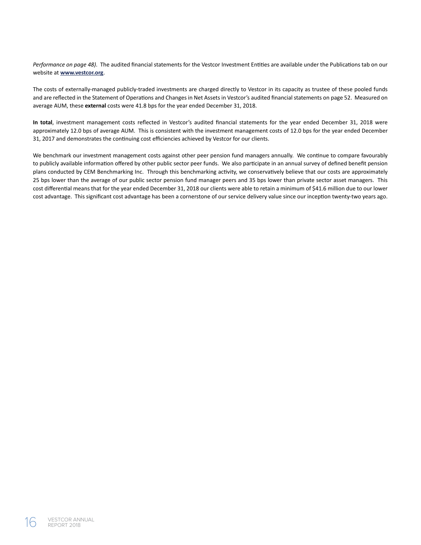*Performance on page 48)*. The audited financial statements for the Vestcor Investment Entities are available under the Publications tab on our website at **www.vestcor.org**.

The costs of externally-managed publicly-traded investments are charged directly to Vestcor in its capacity as trustee of these pooled funds and are reflected in the Statement of Operations and Changes in Net Assets in Vestcor's audited financial statements on page 52. Measured on average AUM, these **external** costs were 41.8 bps for the year ended December 31, 2018.

**In total**, investment management costs reflected in Vestcor's audited financial statements for the year ended December 31, 2018 were approximately 12.0 bps of average AUM. This is consistent with the investment management costs of 12.0 bps for the year ended December 31, 2017 and demonstrates the continuing cost efficiencies achieved by Vestcor for our clients.

We benchmark our investment management costs against other peer pension fund managers annually. We continue to compare favourably to publicly available information offered by other public sector peer funds. We also participate in an annual survey of defined benefit pension plans conducted by CEM Benchmarking Inc. Through this benchmarking activity, we conservatively believe that our costs are approximately 25 bps lower than the average of our public sector pension fund manager peers and 35 bps lower than private sector asset managers. This cost differential means that for the year ended December 31, 2018 our clients were able to retain a minimum of \$41.6 million due to our lower cost advantage. This significant cost advantage has been a cornerstone of our service delivery value since our inception twenty-two years ago.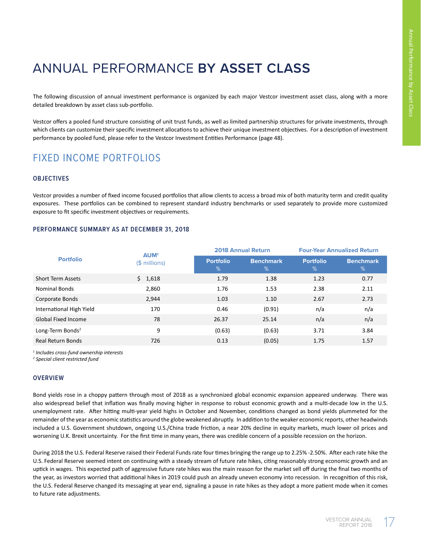# ANNUAL PERFORMANCE **BY ASSET CLASS**

The following discussion of annual investment performance is organized by each major Vestcor investment asset class, along with a more detailed breakdown by asset class sub-portfolio.

Vestcor offers a pooled fund structure consisting of unit trust funds, as well as limited partnership structures for private investments, through which clients can customize their specific investment allocations to achieve their unique investment objectives. For a description of investment performance by pooled fund, please refer to the Vestcor Investment Entities Performance (page 48).

# FIXED INCOME PORTFOLIOS

### **OBJECTIVES**

Vestcor provides a number of fixed income focused portfolios that allow clients to access a broad mix of both maturity term and credit quality exposures. These portfolios can be combined to represent standard industry benchmarks or used separately to provide more customized exposure to fit specific investment objectives or requirements.

### **PERFORMANCE SUMMARY AS AT DECEMBER 31, 2018**

| <b>Portfolio</b>             | <b>AUM<sup>1</sup></b> |                       | <b>2018 Annual Return</b> | <b>Four-Year Annualized Return</b> |                       |
|------------------------------|------------------------|-----------------------|---------------------------|------------------------------------|-----------------------|
|                              | $$$ millions)          | <b>Portfolio</b><br>% | <b>Benchmark</b><br>%'    | <b>Portfolio</b><br>%              | <b>Benchmark</b><br>% |
| <b>Short Term Assets</b>     | \$1,618                | 1.79                  | 1.38                      | 1.23                               | 0.77                  |
| <b>Nominal Bonds</b>         | 2,860                  | 1.76                  | 1.53                      | 2.38                               | 2.11                  |
| Corporate Bonds              | 2,944                  | 1.03                  | 1.10                      | 2.67                               | 2.73                  |
| International High Yield     | 170                    | 0.46                  | (0.91)                    | n/a                                | n/a                   |
| Global Fixed Income          | 78                     | 26.37                 | 25.14                     | n/a                                | n/a                   |
| Long-Term Bonds <sup>2</sup> | 9                      | (0.63)                | (0.63)                    | 3.71                               | 3.84                  |
| <b>Real Return Bonds</b>     | 726                    | 0.13                  | (0.05)                    | 1.75                               | 1.57                  |

*1 Includes cross-fund ownership interests*

*2 Special client restricted fund*

### **OVERVIEW**

Bond yields rose in a choppy pattern through most of 2018 as a synchronized global economic expansion appeared underway. There was also widespread belief that inflation was finally moving higher in response to robust economic growth and a multi-decade low in the U.S. unemployment rate. After hitting multi-year yield highs in October and November, conditions changed as bond yields plummeted for the remainder of the year as economic statistics around the globe weakened abruptly. In addition to the weaker economic reports, other headwinds included a U.S. Government shutdown, ongoing U.S./China trade friction, a near 20% decline in equity markets, much lower oil prices and worsening U.K. Brexit uncertainty. For the first time in many years, there was credible concern of a possible recession on the horizon.

During 2018 the U.S. Federal Reserve raised their Federal Funds rate four times bringing the range up to 2.25% -2.50%. After each rate hike the U.S. Federal Reserve seemed intent on continuing with a steady stream of future rate hikes, citing reasonably strong economic growth and an uptick in wages. This expected path of aggressive future rate hikes was the main reason for the market sell off during the final two months of the year, as investors worried that additional hikes in 2019 could push an already uneven economy into recession. In recognition of this risk, the U.S. Federal Reserve changed its messaging at year end, signaling a pause in rate hikes as they adopt a more patient mode when it comes to future rate adjustments.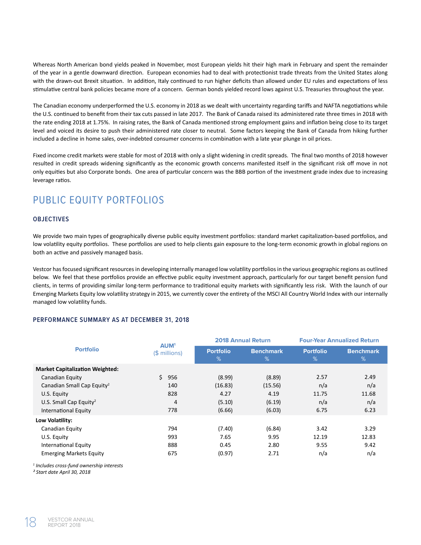Whereas North American bond yields peaked in November, most European yields hit their high mark in February and spent the remainder of the year in a gentle downward direction. European economies had to deal with protectionist trade threats from the United States along with the drawn-out Brexit situation. In addition, Italy continued to run higher deficits than allowed under EU rules and expectations of less stimulative central bank policies became more of a concern. German bonds yielded record lows against U.S. Treasuries throughout the year.

The Canadian economy underperformed the U.S. economy in 2018 as we dealt with uncertainty regarding tariffs and NAFTA negotiations while the U.S. continued to benefit from their tax cuts passed in late 2017. The Bank of Canada raised its administered rate three times in 2018 with the rate ending 2018 at 1.75%. In raising rates, the Bank of Canada mentioned strong employment gains and inflation being close to its target level and voiced its desire to push their administered rate closer to neutral. Some factors keeping the Bank of Canada from hiking further included a decline in home sales, over-indebted consumer concerns in combination with a late year plunge in oil prices.

Fixed income credit markets were stable for most of 2018 with only a slight widening in credit spreads. The final two months of 2018 however resulted in credit spreads widening significantly as the economic growth concerns manifested itself in the significant risk off move in not only equities but also Corporate bonds. One area of particular concern was the BBB portion of the investment grade index due to increasing leverage ratios.

# PUBLIC EQUITY PORTFOLIOS

### **OBJECTIVES**

We provide two main types of geographically diverse public equity investment portfolios: standard market capitalization-based portfolios, and low volatility equity portfolios. These portfolios are used to help clients gain exposure to the long-term economic growth in global regions on both an active and passively managed basis.

Vestcor has focused significant resources in developing internally managed low volatility portfolios in the various geographic regions as outlined below. We feel that these portfolios provide an effective public equity investment approach, particularly for our target benefit pension fund clients, in terms of providing similar long-term performance to traditional equity markets with significantly less risk. With the launch of our Emerging Markets Equity low volatility strategy in 2015, we currently cover the entirety of the MSCI All Country World Index with our internally managed low volatility funds.

### **PERFORMANCE SUMMARY AS AT DECEMBER 31, 2018**

| <b>Portfolio</b>                                   | AUM <sup>1</sup> | <b>2018 Annual Return</b> |                       | <b>Four-Year Annualized Return</b> |                       |
|----------------------------------------------------|------------------|---------------------------|-----------------------|------------------------------------|-----------------------|
|                                                    | (\$ millions)    | <b>Portfolio</b><br>$\%$  | <b>Benchmark</b><br>% | <b>Portfolio</b><br>%              | <b>Benchmark</b><br>% |
| <b>Market Capitalization Weighted:</b>             |                  |                           |                       |                                    |                       |
| Canadian Equity                                    | Ś.<br>956        | (8.99)                    | (8.89)                | 2.57                               | 2.49                  |
| Canadian Small Cap Equity <sup>2</sup>             | 140              | (16.83)                   | (15.56)               | n/a                                | n/a                   |
| U.S. Equity                                        | 828              | 4.27                      | 4.19                  | 11.75                              | 11.68                 |
| U.S. Small Cap Equity <sup>2</sup>                 | 4                | (5.10)                    | (6.19)                | n/a                                | n/a                   |
| International Equity                               | 778              | (6.66)                    | (6.03)                | 6.75                               | 6.23                  |
| Low Volatility:                                    |                  |                           |                       |                                    |                       |
| Canadian Equity                                    | 794              | (7.40)                    | (6.84)                | 3.42                               | 3.29                  |
| U.S. Equity                                        | 993              | 7.65                      | 9.95                  | 12.19                              | 12.83                 |
| International Equity                               | 888              | 0.45                      | 2.80                  | 9.55                               | 9.42                  |
| <b>Emerging Markets Equity</b>                     | 675              | (0.97)                    | 2.71                  | n/a                                | n/a                   |
| $^1$ Includes cross-fund ownershin interests. $^1$ |                  |                           |                       |                                    |                       |

 *Includes cross-fund ownership interests*

*² Start date April 30, 2018*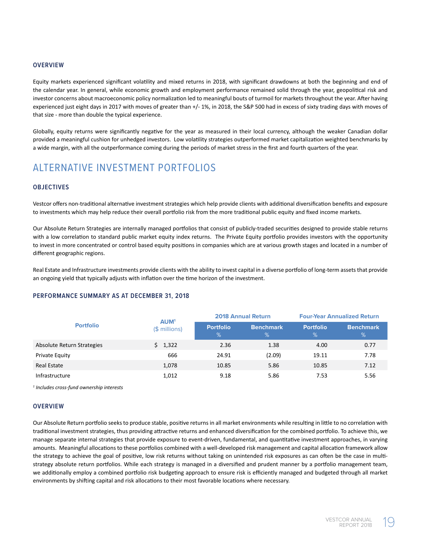#### **OVERVIEW**

Equity markets experienced significant volatility and mixed returns in 2018, with significant drawdowns at both the beginning and end of the calendar year. In general, while economic growth and employment performance remained solid through the year, geopolitical risk and investor concerns about macroeconomic policy normalization led to meaningful bouts of turmoil for markets throughout the year. After having experienced just eight days in 2017 with moves of greater than +/- 1%, in 2018, the S&P 500 had in excess of sixty trading days with moves of that size - more than double the typical experience.

Globally, equity returns were significantly negative for the year as measured in their local currency, although the weaker Canadian dollar provided a meaningful cushion for unhedged investors. Low volatility strategies outperformed market capitalization weighted benchmarks by a wide margin, with all the outperformance coming during the periods of market stress in the first and fourth quarters of the year.

### ALTERNATIVE INVESTMENT PORTFOLIOS

### **OBJECTIVES**

Vestcor offers non-traditional alternative investment strategies which help provide clients with additional diversification benefits and exposure to investments which may help reduce their overall portfolio risk from the more traditional public equity and fixed income markets.

Our Absolute Return Strategies are internally managed portfolios that consist of publicly-traded securities designed to provide stable returns with a low correlation to standard public market equity index returns. The Private Equity portfolio provides investors with the opportunity to invest in more concentrated or control based equity positions in companies which are at various growth stages and located in a number of different geographic regions.

Real Estate and Infrastructure investments provide clients with the ability to invest capital in a diverse portfolio of long-term assets that provide an ongoing yield that typically adjusts with inflation over the time horizon of the investment.

#### **PERFORMANCE SUMMARY AS AT DECEMBER 31, 2018**

| AUM <sup>1</sup><br><b>Portfolio</b> |                |                       | <b>2018 Annual Return</b> | <b>Four-Year Annualized Return</b> |                       |
|--------------------------------------|----------------|-----------------------|---------------------------|------------------------------------|-----------------------|
|                                      | $($$ millions) | <b>Portfolio</b><br>% | <b>Benchmark</b><br>%     | <b>Portfolio</b><br>$\%$           | <b>Benchmark</b><br>% |
| Absolute Return Strategies           | \$1,322        | 2.36                  | 1.38                      | 4.00                               | 0.77                  |
| Private Equity                       | 666            | 24.91                 | (2.09)                    | 19.11                              | 7.78                  |
| <b>Real Estate</b>                   | 1,078          | 10.85                 | 5.86                      | 10.85                              | 7.12                  |
| Infrastructure                       | 1,012          | 9.18                  | 5.86                      | 7.53                               | 5.56                  |

*1 Includes cross-fund ownership interests*

#### **OVERVIEW**

Our Absolute Return portfolio seeks to produce stable, positive returns in all market environments while resulting in little to no correlation with traditional investment strategies, thus providing attractive returns and enhanced diversification for the combined portfolio. To achieve this, we manage separate internal strategies that provide exposure to event-driven, fundamental, and quantitative investment approaches, in varying amounts. Meaningful allocations to these portfolios combined with a well-developed risk management and capital allocation framework allow the strategy to achieve the goal of positive, low risk returns without taking on unintended risk exposures as can often be the case in multistrategy absolute return portfolios. While each strategy is managed in a diversified and prudent manner by a portfolio management team, we additionally employ a combined portfolio risk budgeting approach to ensure risk is efficiently managed and budgeted through all market environments by shifting capital and risk allocations to their most favorable locations where necessary.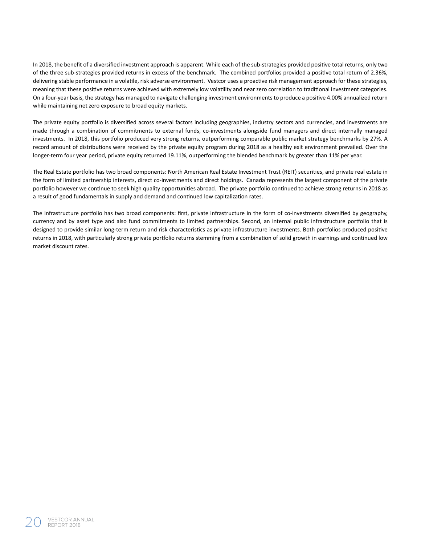In 2018, the benefit of a diversified investment approach is apparent. While each of the sub-strategies provided positive total returns, only two of the three sub-strategies provided returns in excess of the benchmark. The combined portfolios provided a positive total return of 2.36%, delivering stable performance in a volatile, risk adverse environment. Vestcor uses a proactive risk management approach for these strategies, meaning that these positive returns were achieved with extremely low volatility and near zero correlation to traditional investment categories. On a four-year basis, the strategy has managed to navigate challenging investment environments to produce a positive 4.00% annualized return while maintaining net zero exposure to broad equity markets.

The private equity portfolio is diversified across several factors including geographies, industry sectors and currencies, and investments are made through a combination of commitments to external funds, co-investments alongside fund managers and direct internally managed investments. In 2018, this portfolio produced very strong returns, outperforming comparable public market strategy benchmarks by 27%. A record amount of distributions were received by the private equity program during 2018 as a healthy exit environment prevailed. Over the longer-term four year period, private equity returned 19.11%, outperforming the blended benchmark by greater than 11% per year.

The Real Estate portfolio has two broad components: North American Real Estate Investment Trust (REIT) securities, and private real estate in the form of limited partnership interests, direct co-investments and direct holdings. Canada represents the largest component of the private portfolio however we continue to seek high quality opportunities abroad. The private portfolio continued to achieve strong returns in 2018 as a result of good fundamentals in supply and demand and continued low capitalization rates.

The Infrastructure portfolio has two broad components: first, private infrastructure in the form of co-investments diversified by geography, currency and by asset type and also fund commitments to limited partnerships. Second, an internal public infrastructure portfolio that is designed to provide similar long-term return and risk characteristics as private infrastructure investments. Both portfolios produced positive returns in 2018, with particularly strong private portfolio returns stemming from a combination of solid growth in earnings and continued low market discount rates.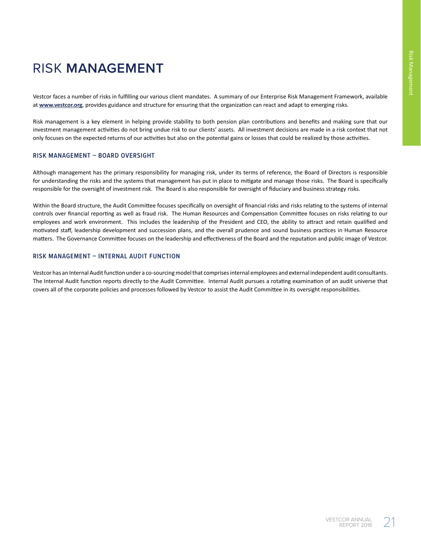# RISK **MANAGEMENT**

Vestcor faces a number of risks in fulfilling our various client mandates. A summary of our Enterprise Risk Management Framework, available at **www.vestcor.org**, provides guidance and structure for ensuring that the organization can react and adapt to emerging risks.

Risk management is a key element in helping provide stability to both pension plan contributions and benefits and making sure that our investment management activities do not bring undue risk to our clients' assets. All investment decisions are made in a risk context that not only focuses on the expected returns of our activities but also on the potential gains or losses that could be realized by those activities.

### **RISK MANAGEMENT – BOARD OVERSIGHT**

Although management has the primary responsibility for managing risk, under its terms of reference, the Board of Directors is responsible for understanding the risks and the systems that management has put in place to mitigate and manage those risks. The Board is specifically responsible for the oversight of investment risk. The Board is also responsible for oversight of fiduciary and business strategy risks.

Within the Board structure, the Audit Committee focuses specifically on oversight of financial risks and risks relating to the systems of internal controls over financial reporting as well as fraud risk. The Human Resources and Compensation Committee focuses on risks relating to our employees and work environment. This includes the leadership of the President and CEO, the ability to attract and retain qualified and motivated staff, leadership development and succession plans, and the overall prudence and sound business practices in Human Resource matters. The Governance Committee focuses on the leadership and effectiveness of the Board and the reputation and public image of Vestcor.

### **RISK MANAGEMENT – INTERNAL AUDIT FUNCTION**

Vestcor has an Internal Audit function under a co-sourcing model that comprises internal employees and external independent audit consultants. The Internal Audit function reports directly to the Audit Committee. Internal Audit pursues a rotating examination of an audit universe that covers all of the corporate policies and processes followed by Vestcor to assist the Audit Committee in its oversight responsibilities.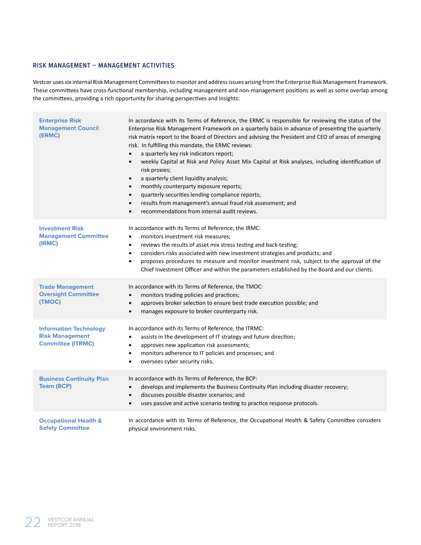### **RISK MANAGEMENT – MANAGEMENT ACTIVITIES**

Vestcor uses six internal Risk Management Committees to monitor and address issues arising from the Enterprise Risk Management Framework. These committees have cross-functional membership, including management and non-management positions as well as some overlap among the committees, providing a rich opportunity for sharing perspectives and insights:

| <b>Enterprise Risk</b><br><b>Management Council</b><br>(ERMC)                       | In accordance with its Terms of Reference, the ERMC is responsible for reviewing the status of the<br>Enterprise Risk Management Framework on a quarterly basis in advance of presenting the quarterly<br>risk matrix report to the Board of Directors and advising the President and CEO of areas of emerging<br>risk. In fulfilling this mandate, the ERMC reviews:<br>a quarterly key risk indicators report;<br>$\bullet$<br>weekly Capital at Risk and Policy Asset Mix Capital at Risk analyses, including identification of<br>$\bullet$<br>risk proxies;<br>a quarterly client liquidity analysis;<br>$\bullet$<br>monthly counterparty exposure reports;<br>$\bullet$<br>quarterly securities lending compliance reports;<br>$\bullet$<br>results from management's annual fraud risk assessment; and<br>$\bullet$<br>recommendations from internal audit reviews.<br>$\bullet$ |
|-------------------------------------------------------------------------------------|------------------------------------------------------------------------------------------------------------------------------------------------------------------------------------------------------------------------------------------------------------------------------------------------------------------------------------------------------------------------------------------------------------------------------------------------------------------------------------------------------------------------------------------------------------------------------------------------------------------------------------------------------------------------------------------------------------------------------------------------------------------------------------------------------------------------------------------------------------------------------------------|
| <b>Investment Risk</b><br><b>Management Committee</b><br>(IRMC)                     | In accordance with its Terms of Reference, the IRMC:<br>monitors investment risk measures;<br>$\bullet$<br>reviews the results of asset mix stress testing and back-testing;<br>$\bullet$<br>considers risks associated with new investment strategies and products; and<br>$\bullet$<br>proposes procedures to measure and monitor investment risk, subject to the approval of the<br>$\bullet$<br>Chief Investment Officer and within the parameters established by the Board and our clients.                                                                                                                                                                                                                                                                                                                                                                                         |
| <b>Trade Management</b><br><b>Oversight Committee</b><br>(TMOC)                     | In accordance with its Terms of Reference, the TMOC:<br>monitors trading policies and practices;<br>$\bullet$<br>approves broker selection to ensure best trade execution possible; and<br>$\bullet$<br>manages exposure to broker counterparty risk.<br>$\bullet$                                                                                                                                                                                                                                                                                                                                                                                                                                                                                                                                                                                                                       |
| <b>Information Technology</b><br><b>Risk Management</b><br><b>Committee (ITRMC)</b> | In accordance with its Terms of Reference, the ITRMC:<br>assists in the development of IT strategy and future direction;<br>$\bullet$<br>approves new application risk assessments;<br>$\bullet$<br>monitors adherence to IT policies and processes; and<br>$\bullet$<br>oversees cyber security risks.<br>$\bullet$                                                                                                                                                                                                                                                                                                                                                                                                                                                                                                                                                                     |
| <b>Business Continuity Plan</b><br><b>Team (BCP)</b>                                | In accordance with its Terms of Reference, the BCP:<br>develops and implements the Business Continuity Plan including disaster recovery;<br>$\bullet$<br>discusses possible disaster scenarios; and<br>$\bullet$<br>uses passive and active scenario testing to practice response protocols.<br>$\bullet$                                                                                                                                                                                                                                                                                                                                                                                                                                                                                                                                                                                |
| <b>Occupational Health &amp;</b><br><b>Safety Committee</b>                         | In accordance with its Terms of Reference, the Occupational Health & Safety Committee considers<br>physical environment risks.                                                                                                                                                                                                                                                                                                                                                                                                                                                                                                                                                                                                                                                                                                                                                           |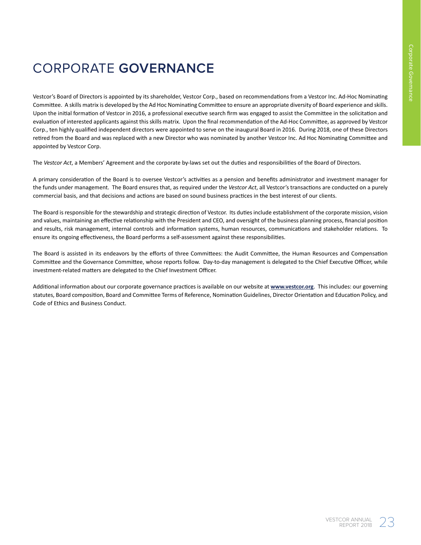# CORPORATE **GOVERNANCE**

Vestcor's Board of Directors is appointed by its shareholder, Vestcor Corp., based on recommendations from a Vestcor Inc. Ad-Hoc Nominating Committee. A skills matrix is developed by the Ad Hoc Nominating Committee to ensure an appropriate diversity of Board experience and skills. Upon the initial formation of Vestcor in 2016, a professional executive search firm was engaged to assist the Committee in the solicitation and evaluation of interested applicants against this skills matrix. Upon the final recommendation of the Ad-Hoc Committee, as approved by Vestcor Corp., ten highly qualified independent directors were appointed to serve on the inaugural Board in 2016. During 2018, one of these Directors retired from the Board and was replaced with a new Director who was nominated by another Vestcor Inc. Ad Hoc Nominating Committee and appointed by Vestcor Corp.

The *Vestcor Act*, a Members' Agreement and the corporate by-laws set out the duties and responsibilities of the Board of Directors.

A primary consideration of the Board is to oversee Vestcor's activities as a pension and benefits administrator and investment manager for the funds under management. The Board ensures that, as required under the *Vestcor Act*, all Vestcor's transactions are conducted on a purely commercial basis, and that decisions and actions are based on sound business practices in the best interest of our clients.

The Board is responsible for the stewardship and strategic direction of Vestcor. Its duties include establishment of the corporate mission, vision and values, maintaining an effective relationship with the President and CEO, and oversight of the business planning process, financial position and results, risk management, internal controls and information systems, human resources, communications and stakeholder relations. To ensure its ongoing effectiveness, the Board performs a self-assessment against these responsibilities.

The Board is assisted in its endeavors by the efforts of three Committees: the Audit Committee, the Human Resources and Compensation Committee and the Governance Committee, whose reports follow. Day-to-day management is delegated to the Chief Executive Officer, while investment-related matters are delegated to the Chief Investment Officer.

Additional information about our corporate governance practices is available on our website at **www.vestcor.org**. This includes: our governing statutes, Board composition, Board and Committee Terms of Reference, Nomination Guidelines, Director Orientation and Education Policy, and Code of Ethics and Business Conduct.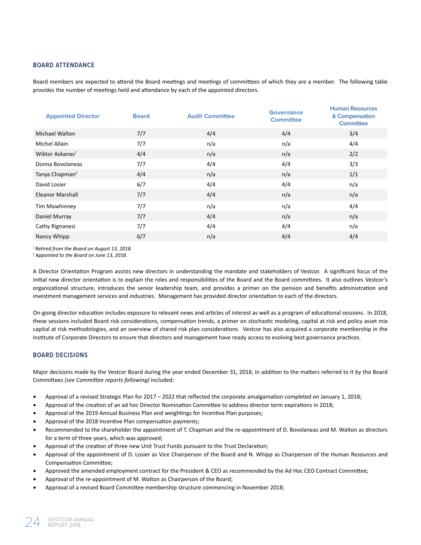### **BOARD ATTENDANCE**

Board members are expected to attend the Board meetings and meetings of committees of which they are a member. The following table provides the number of meetings held and attendance by each of the appointed directors.

| <b>Appointed Director</b>   | <b>Board</b> | <b>Audit Committee</b> | <b>Governance</b><br><b>Committee</b> | <b>Human Resources</b><br>& Compensation<br><b>Committee</b> |
|-----------------------------|--------------|------------------------|---------------------------------------|--------------------------------------------------------------|
| <b>Michael Walton</b>       | 7/7          | 4/4                    | 4/4                                   | 3/4                                                          |
| Michel Allain               | 7/7          | n/a                    | n/a                                   | 4/4                                                          |
| Wiktor Askanas <sup>1</sup> | 4/4          | n/a                    | n/a                                   | 2/2                                                          |
| Donna Bovolaneas            | 7/7          | 4/4                    | 4/4                                   | 3/3                                                          |
| Tanya Chapman <sup>2</sup>  | 4/4          | n/a                    | n/a                                   | 1/1                                                          |
| David Losier                | 6/7          | 4/4                    | 4/4                                   | n/a                                                          |
| <b>Eleanor Marshall</b>     | 7/7          | 4/4                    | n/a                                   | n/a                                                          |
| Tim Mawhinney               | 7/7          | n/a                    | n/a                                   | 4/4                                                          |
| Daniel Murray               | 7/7          | 4/4                    | n/a                                   | n/a                                                          |
| Cathy Rignanesi             | 7/7          | 4/4                    | 4/4                                   | n/a                                                          |
| Nancy Whipp                 | 6/7          | n/a                    | 4/4                                   | 4/4                                                          |

*<sup>1</sup>Retired from the Board on August 13, 2018.*

*<sup>2</sup>Appointed to the Board on June 13, 2018.*

A Director Orientation Program assists new directors in understanding the mandate and stakeholders of Vestcor. A significant focus of the initial new director orientation is to explain the roles and responsibilities of the Board and the Board committees. It also outlines Vestcor's organizational structure, introduces the senior leadership team, and provides a primer on the pension and benefits administration and investment management services and industries. Management has provided director orientation to each of the directors.

On-going director education includes exposure to relevant news and articles of interest as well as a program of educational sessions. In 2018, these sessions included Board risk considerations, compensation trends, a primer on stochastic modeling, capital at risk and policy asset mix capital at risk methodologies, and an overview of shared risk plan considerations. Vestcor has also acquired a corporate membership in the Institute of Corporate Directors to ensure that directors and management have ready access to evolving best governance practices.

### **BOARD DECISIONS**

Major decisions made by the Vestcor Board during the year ended December 31, 2018, in addition to the matters referred to it by the Board Committees *(see Committee reports following)* included:

- Approval of a revised Strategic Plan for 2017 2022 that reflected the corporate amalgamation completed on January 1, 2018;
- Approval of the creation of an ad hoc Director Nomination Committee to address director term expirations in 2018;
- Approval of the 2019 Annual Business Plan and weightings for Incentive Plan purposes;
- Approval of the 2018 Incentive Plan compensation payments;
- Recommended to the shareholder the appointment of T. Chapman and the re-appointment of D. Bovolaneas and M. Walton as directors for a term of three years, which was approved;
- Approval of the creation of three new Unit Trust Funds pursuant to the Trust Declaration;
- Approval of the appointment of D. Losier as Vice Chairperson of the Board and N. Whipp as Chairperson of the Human Resources and Compensation Committee;
- Approved the amended employment contract for the President & CEO as recommended by the Ad Hoc CEO Contract Committee;
- Approval of the re-appointment of M. Walton as Chairperson of the Board;
- Approval of a revised Board Committee membership structure commencing in November 2018;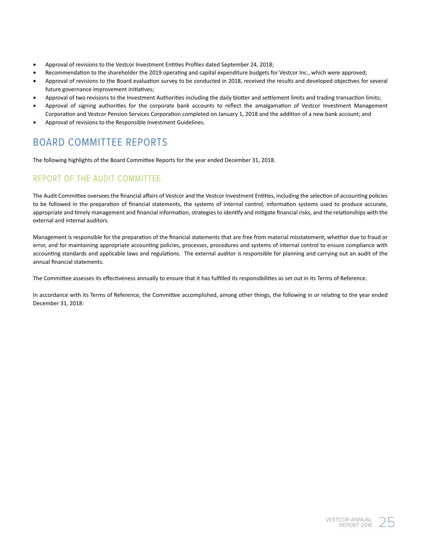- Approval of revisions to the Vestcor Investment Entities Profiles dated September 24, 2018;
- Recommendation to the shareholder the 2019 operating and capital expenditure budgets for Vestcor Inc., which were approved;
- Approval of revisions to the Board evaluation survey to be conducted in 2018, received the results and developed objectives for several future governance improvement initiatives;
- Approval of two revisions to the Investment Authorities including the daily blotter and settlement limits and trading transaction limits;
- Approval of signing authorities for the corporate bank accounts to reflect the amalgamation of Vestcor Investment Management Corporation and Vestcor Pension Services Corporation completed on January 1, 2018 and the addition of a new bank account; and
- Approval of revisions to the Responsible Investment Guidelines.

# BOARD COMMITTEE REPORTS

The following highlights of the Board Committee Reports for the year ended December 31, 2018.

### REPORT OF THE AUDIT COMMITTEE

The Audit Committee oversees the financial affairs of Vestcor and the Vestcor Investment Entities, including the selection of accounting policies to be followed in the preparation of financial statements, the systems of internal control, information systems used to produce accurate, appropriate and timely management and financial information, strategies to identify and mitigate financial risks, and the relationships with the external and internal auditors.

Management is responsible for the preparation of the financial statements that are free from material misstatement, whether due to fraud or error, and for maintaining appropriate accounting policies, processes, procedures and systems of internal control to ensure compliance with accounting standards and applicable laws and regulations. The external auditor is responsible for planning and carrying out an audit of the annual financial statements.

The Committee assesses its effectiveness annually to ensure that it has fulfilled its responsibilities as set out in its Terms of Reference.

In accordance with its Terms of Reference, the Committee accomplished, among other things, the following in or relating to the year ended December 31, 2018: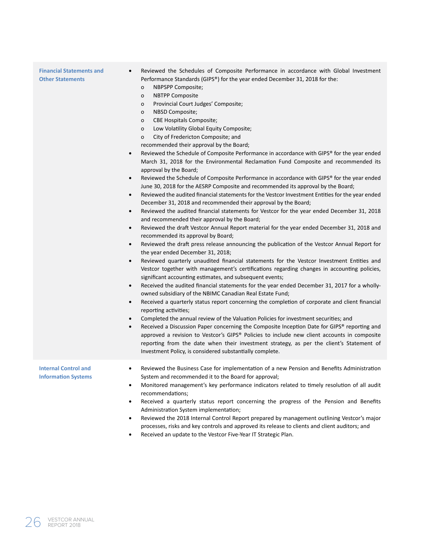| <b>Financial Statements and</b><br>$\bullet$<br><b>Other Statements</b><br>$\bullet$<br>$\bullet$<br>$\bullet$<br>$\bullet$<br>$\bullet$<br>$\bullet$<br>$\bullet$<br>$\bullet$<br>$\bullet$<br>$\bullet$<br>$\bullet$ | Reviewed the Schedules of Composite Performance in accordance with Global Investment<br>Performance Standards (GIPS®) for the year ended December 31, 2018 for the:<br>NBPSPP Composite;<br>о<br><b>NBTPP Composite</b><br>о<br>Provincial Court Judges' Composite;<br>0<br>NBSD Composite;<br>о<br><b>CBE Hospitals Composite;</b><br>о<br>Low Volatility Global Equity Composite;<br>0<br>City of Fredericton Composite; and<br>0<br>recommended their approval by the Board;<br>Reviewed the Schedule of Composite Performance in accordance with GIPS® for the year ended<br>March 31, 2018 for the Environmental Reclamation Fund Composite and recommended its<br>approval by the Board;<br>Reviewed the Schedule of Composite Performance in accordance with GIPS® for the year ended<br>June 30, 2018 for the AESRP Composite and recommended its approval by the Board;<br>Reviewed the audited financial statements for the Vestcor Investment Entities for the year ended<br>December 31, 2018 and recommended their approval by the Board;<br>Reviewed the audited financial statements for Vestcor for the year ended December 31, 2018<br>and recommended their approval by the Board;<br>Reviewed the draft Vestcor Annual Report material for the year ended December 31, 2018 and<br>recommended its approval by Board;<br>Reviewed the draft press release announcing the publication of the Vestcor Annual Report for<br>the year ended December 31, 2018;<br>Reviewed quarterly unaudited financial statements for the Vestcor Investment Entities and<br>Vestcor together with management's certifications regarding changes in accounting policies,<br>significant accounting estimates, and subsequent events;<br>Received the audited financial statements for the year ended December 31, 2017 for a wholly-<br>owned subsidiary of the NBIMC Canadian Real Estate Fund;<br>Received a quarterly status report concerning the completion of corporate and client financial<br>reporting activities;<br>Completed the annual review of the Valuation Policies for investment securities; and<br>Received a Discussion Paper concerning the Composite Inception Date for GIPS® reporting and<br>approved a revision to Vestcor's GIPS® Policies to include new client accounts in composite<br>reporting from the date when their investment strategy, as per the client's Statement of<br>Investment Policy, is considered substantially complete. |
|------------------------------------------------------------------------------------------------------------------------------------------------------------------------------------------------------------------------|----------------------------------------------------------------------------------------------------------------------------------------------------------------------------------------------------------------------------------------------------------------------------------------------------------------------------------------------------------------------------------------------------------------------------------------------------------------------------------------------------------------------------------------------------------------------------------------------------------------------------------------------------------------------------------------------------------------------------------------------------------------------------------------------------------------------------------------------------------------------------------------------------------------------------------------------------------------------------------------------------------------------------------------------------------------------------------------------------------------------------------------------------------------------------------------------------------------------------------------------------------------------------------------------------------------------------------------------------------------------------------------------------------------------------------------------------------------------------------------------------------------------------------------------------------------------------------------------------------------------------------------------------------------------------------------------------------------------------------------------------------------------------------------------------------------------------------------------------------------------------------------------------------------------------------------------------------------------------------------------------------------------------------------------------------------------------------------------------------------------------------------------------------------------------------------------------------------------------------------------------------------------------------------------------------------------------------------------------------------------------------------------------------------------------------------------------------------------------|
| <b>Internal Control and</b><br><b>Information Systems</b><br>٠<br>$\bullet$<br>$\bullet$<br>$\bullet$                                                                                                                  | Reviewed the Business Case for implementation of a new Pension and Benefits Administration<br>System and recommended it to the Board for approval;<br>Monitored management's key performance indicators related to timely resolution of all audit<br>recommendations;<br>Received a quarterly status report concerning the progress of the Pension and Benefits<br>Administration System implementation;<br>Reviewed the 2018 Internal Control Report prepared by management outlining Vestcor's major<br>processes, risks and key controls and approved its release to clients and client auditors; and<br>Received an update to the Vestcor Five-Year IT Strategic Plan.                                                                                                                                                                                                                                                                                                                                                                                                                                                                                                                                                                                                                                                                                                                                                                                                                                                                                                                                                                                                                                                                                                                                                                                                                                                                                                                                                                                                                                                                                                                                                                                                                                                                                                                                                                                                 |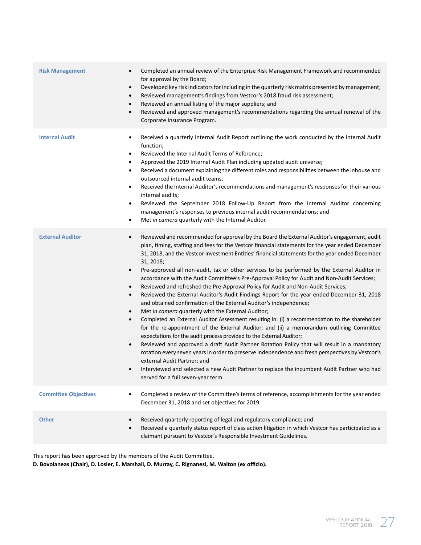| <b>Risk Management</b>      | Completed an annual review of the Enterprise Risk Management Framework and recommended<br>٠<br>for approval by the Board;<br>Developed key risk indicators for including in the quarterly risk matrix presented by management;<br>$\bullet$<br>Reviewed management's findings from Vestcor's 2018 fraud risk assessment;<br>$\bullet$<br>Reviewed an annual listing of the major suppliers; and<br>٠<br>Reviewed and approved management's recommendations regarding the annual renewal of the<br>$\bullet$<br>Corporate Insurance Program.                                                                                                                                                                                                                                                                                                                                                                                                                                                                                                                                                                                                                                                                                                                                                                                                                                                                                                                                                                                                                                       |
|-----------------------------|-----------------------------------------------------------------------------------------------------------------------------------------------------------------------------------------------------------------------------------------------------------------------------------------------------------------------------------------------------------------------------------------------------------------------------------------------------------------------------------------------------------------------------------------------------------------------------------------------------------------------------------------------------------------------------------------------------------------------------------------------------------------------------------------------------------------------------------------------------------------------------------------------------------------------------------------------------------------------------------------------------------------------------------------------------------------------------------------------------------------------------------------------------------------------------------------------------------------------------------------------------------------------------------------------------------------------------------------------------------------------------------------------------------------------------------------------------------------------------------------------------------------------------------------------------------------------------------|
| <b>Internal Audit</b>       | Received a quarterly Internal Audit Report outlining the work conducted by the Internal Audit<br>$\bullet$<br>function;<br>Reviewed the Internal Audit Terms of Reference;<br>$\bullet$<br>Approved the 2019 Internal Audit Plan including updated audit universe;<br>٠<br>Received a document explaining the different roles and responsibilities between the inhouse and<br>$\bullet$<br>outsourced internal audit teams;<br>Received the Internal Auditor's recommendations and management's responses for their various<br>$\bullet$<br>internal audits;<br>Reviewed the September 2018 Follow-Up Report from the Internal Auditor concerning<br>$\bullet$<br>management's responses to previous internal audit recommendations; and<br>Met in camera quarterly with the Internal Auditor.<br>$\bullet$                                                                                                                                                                                                                                                                                                                                                                                                                                                                                                                                                                                                                                                                                                                                                                       |
| <b>External Auditor</b>     | Reviewed and recommended for approval by the Board the External Auditor's engagement, audit<br>$\bullet$<br>plan, timing, staffing and fees for the Vestcor financial statements for the year ended December<br>31, 2018, and the Vestcor Investment Entities' financial statements for the year ended December<br>31, 2018;<br>Pre-approved all non-audit, tax or other services to be performed by the External Auditor in<br>$\bullet$<br>accordance with the Audit Committee's Pre-Approval Policy for Audit and Non-Audit Services;<br>Reviewed and refreshed the Pre-Approval Policy for Audit and Non-Audit Services;<br>$\bullet$<br>Reviewed the External Auditor's Audit Findings Report for the year ended December 31, 2018<br>$\bullet$<br>and obtained confirmation of the External Auditor's independence;<br>Met in camera quarterly with the External Auditor;<br>$\bullet$<br>Completed an External Auditor Assessment resulting in: (i) a recommendation to the shareholder<br>$\bullet$<br>for the re-appointment of the External Auditor; and (ii) a memorandum outlining Committee<br>expectations for the audit process provided to the External Auditor;<br>Reviewed and approved a draft Audit Partner Rotation Policy that will result in a mandatory<br>$\bullet$<br>rotation every seven years in order to preserve independence and fresh perspectives by Vestcor's<br>external Audit Partner; and<br>Interviewed and selected a new Audit Partner to replace the incumbent Audit Partner who had<br>$\bullet$<br>served for a full seven-year term. |
| <b>Committee Objectives</b> | Completed a review of the Committee's terms of reference, accomplishments for the year ended<br>$\bullet$<br>December 31, 2018 and set objectives for 2019.                                                                                                                                                                                                                                                                                                                                                                                                                                                                                                                                                                                                                                                                                                                                                                                                                                                                                                                                                                                                                                                                                                                                                                                                                                                                                                                                                                                                                       |
| <b>Other</b>                | Received quarterly reporting of legal and regulatory compliance; and<br>$\bullet$<br>Received a quarterly status report of class action litigation in which Vestcor has participated as a<br>$\bullet$<br>claimant pursuant to Vestcor's Responsible Investment Guidelines.                                                                                                                                                                                                                                                                                                                                                                                                                                                                                                                                                                                                                                                                                                                                                                                                                                                                                                                                                                                                                                                                                                                                                                                                                                                                                                       |

This report has been approved by the members of the Audit Committee.

**D. Bovolaneas (Chair), D. Losier, E. Marshall, D. Murray, C. Rignanesi, M. Walton (ex officio).**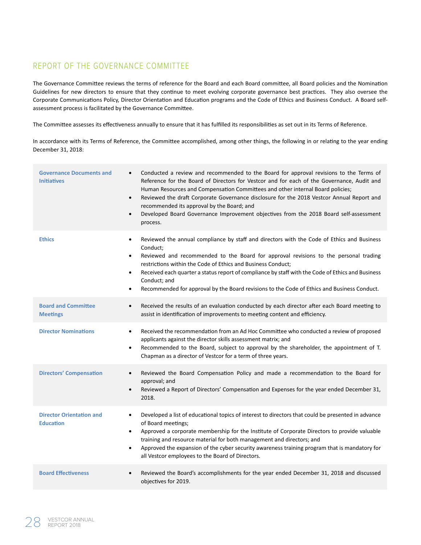### REPORT OF THE GOVERNANCE COMMITTEE

The Governance Committee reviews the terms of reference for the Board and each Board committee, all Board policies and the Nomination Guidelines for new directors to ensure that they continue to meet evolving corporate governance best practices. They also oversee the Corporate Communications Policy, Director Orientation and Education programs and the Code of Ethics and Business Conduct. A Board selfassessment process is facilitated by the Governance Committee.

The Committee assesses its effectiveness annually to ensure that it has fulfilled its responsibilities as set out in its Terms of Reference.

In accordance with its Terms of Reference, the Committee accomplished, among other things, the following in or relating to the year ending December 31, 2018:

| <b>Governance Documents and</b><br><b>Initiatives</b> | Conducted a review and recommended to the Board for approval revisions to the Terms of<br>$\bullet$<br>Reference for the Board of Directors for Vestcor and for each of the Governance, Audit and<br>Human Resources and Compensation Committees and other internal Board policies;<br>Reviewed the draft Corporate Governance disclosure for the 2018 Vestcor Annual Report and<br>$\bullet$<br>recommended its approval by the Board; and<br>Developed Board Governance Improvement objectives from the 2018 Board self-assessment<br>$\bullet$<br>process. |
|-------------------------------------------------------|---------------------------------------------------------------------------------------------------------------------------------------------------------------------------------------------------------------------------------------------------------------------------------------------------------------------------------------------------------------------------------------------------------------------------------------------------------------------------------------------------------------------------------------------------------------|
| <b>Ethics</b>                                         | Reviewed the annual compliance by staff and directors with the Code of Ethics and Business<br>$\bullet$<br>Conduct;<br>Reviewed and recommended to the Board for approval revisions to the personal trading<br>$\bullet$<br>restrictions within the Code of Ethics and Business Conduct;<br>Received each quarter a status report of compliance by staff with the Code of Ethics and Business<br>$\bullet$<br>Conduct; and<br>Recommended for approval by the Board revisions to the Code of Ethics and Business Conduct.<br>$\bullet$                        |
| <b>Board and Committee</b><br><b>Meetings</b>         | Received the results of an evaluation conducted by each director after each Board meeting to<br>$\bullet$<br>assist in identification of improvements to meeting content and efficiency.                                                                                                                                                                                                                                                                                                                                                                      |
| <b>Director Nominations</b>                           | Received the recommendation from an Ad Hoc Committee who conducted a review of proposed<br>$\bullet$<br>applicants against the director skills assessment matrix; and<br>Recommended to the Board, subject to approval by the shareholder, the appointment of T.<br>$\bullet$<br>Chapman as a director of Vestcor for a term of three years.                                                                                                                                                                                                                  |
| <b>Directors' Compensation</b>                        | Reviewed the Board Compensation Policy and made a recommendation to the Board for<br>$\bullet$<br>approval; and<br>Reviewed a Report of Directors' Compensation and Expenses for the year ended December 31,<br>$\bullet$<br>2018.                                                                                                                                                                                                                                                                                                                            |
| <b>Director Orientation and</b><br><b>Education</b>   | Developed a list of educational topics of interest to directors that could be presented in advance<br>$\bullet$<br>of Board meetings;<br>Approved a corporate membership for the Institute of Corporate Directors to provide valuable<br>$\bullet$<br>training and resource material for both management and directors; and<br>Approved the expansion of the cyber security awareness training program that is mandatory for<br>$\bullet$<br>all Vestcor employees to the Board of Directors.                                                                 |
| <b>Board Effectiveness</b>                            | Reviewed the Board's accomplishments for the year ended December 31, 2018 and discussed<br>$\bullet$<br>objectives for 2019.                                                                                                                                                                                                                                                                                                                                                                                                                                  |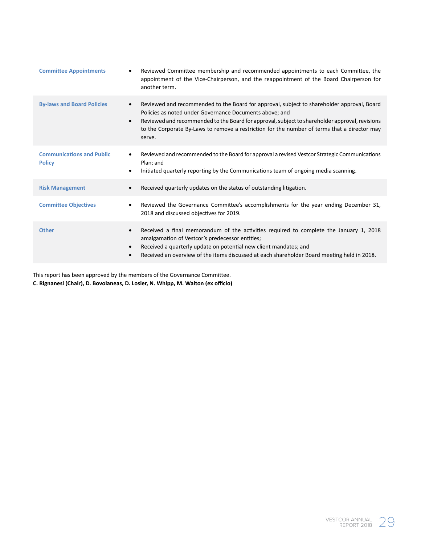| <b>Committee Appointments</b>                     | Reviewed Committee membership and recommended appointments to each Committee, the<br>$\bullet$<br>appointment of the Vice-Chairperson, and the reappointment of the Board Chairperson for<br>another term.                                                                                                                                                                                  |
|---------------------------------------------------|---------------------------------------------------------------------------------------------------------------------------------------------------------------------------------------------------------------------------------------------------------------------------------------------------------------------------------------------------------------------------------------------|
| <b>By-laws and Board Policies</b>                 | Reviewed and recommended to the Board for approval, subject to shareholder approval, Board<br>$\bullet$<br>Policies as noted under Governance Documents above; and<br>Reviewed and recommended to the Board for approval, subject to shareholder approval, revisions<br>$\bullet$<br>to the Corporate By-Laws to remove a restriction for the number of terms that a director may<br>serve. |
| <b>Communications and Public</b><br><b>Policy</b> | Reviewed and recommended to the Board for approval a revised Vestcor Strategic Communications<br>$\bullet$<br>Plan; and<br>Initiated quarterly reporting by the Communications team of ongoing media scanning.<br>$\bullet$                                                                                                                                                                 |
| <b>Risk Management</b>                            | Received quarterly updates on the status of outstanding litigation.<br>$\bullet$                                                                                                                                                                                                                                                                                                            |
| <b>Committee Objectives</b>                       | Reviewed the Governance Committee's accomplishments for the year ending December 31,<br>$\bullet$<br>2018 and discussed objectives for 2019.                                                                                                                                                                                                                                                |
| <b>Other</b>                                      | Received a final memorandum of the activities required to complete the January 1, 2018<br>$\bullet$<br>amalgamation of Vestcor's predecessor entities;<br>Received a quarterly update on potential new client mandates; and<br>$\bullet$<br>Received an overview of the items discussed at each shareholder Board meeting held in 2018.                                                     |

This report has been approved by the members of the Governance Committee.

**C. Rignanesi (Chair), D. Bovolaneas, D. Losier, N. Whipp, M. Walton (ex officio)**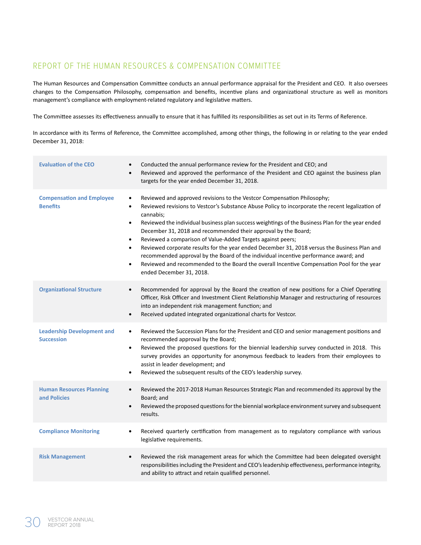### REPORT OF THE HUMAN RESOURCES & COMPENSATION COMMITTEE

The Human Resources and Compensation Committee conducts an annual performance appraisal for the President and CEO. It also oversees changes to the Compensation Philosophy, compensation and benefits, incentive plans and organizational structure as well as monitors management's compliance with employment-related regulatory and legislative matters.

The Committee assesses its effectiveness annually to ensure that it has fulfilled its responsibilities as set out in its Terms of Reference.

In accordance with its Terms of Reference, the Committee accomplished, among other things, the following in or relating to the year ended December 31, 2018:

| <b>Evaluation of the CEO</b>                           | Conducted the annual performance review for the President and CEO; and<br>$\bullet$<br>Reviewed and approved the performance of the President and CEO against the business plan<br>$\bullet$<br>targets for the year ended December 31, 2018.                                                                                                                                                                                                                                                                                                                                                                                                                                                                                                                                                                                 |
|--------------------------------------------------------|-------------------------------------------------------------------------------------------------------------------------------------------------------------------------------------------------------------------------------------------------------------------------------------------------------------------------------------------------------------------------------------------------------------------------------------------------------------------------------------------------------------------------------------------------------------------------------------------------------------------------------------------------------------------------------------------------------------------------------------------------------------------------------------------------------------------------------|
| <b>Compensation and Employee</b><br><b>Benefits</b>    | Reviewed and approved revisions to the Vestcor Compensation Philosophy;<br>$\bullet$<br>Reviewed revisions to Vestcor's Substance Abuse Policy to incorporate the recent legalization of<br>$\bullet$<br>cannabis;<br>Reviewed the individual business plan success weightings of the Business Plan for the year ended<br>$\bullet$<br>December 31, 2018 and recommended their approval by the Board;<br>Reviewed a comparison of Value-Added Targets against peers;<br>$\bullet$<br>Reviewed corporate results for the year ended December 31, 2018 versus the Business Plan and<br>$\bullet$<br>recommended approval by the Board of the individual incentive performance award; and<br>Reviewed and recommended to the Board the overall Incentive Compensation Pool for the year<br>$\bullet$<br>ended December 31, 2018. |
| <b>Organizational Structure</b>                        | Recommended for approval by the Board the creation of new positions for a Chief Operating<br>$\bullet$<br>Officer, Risk Officer and Investment Client Relationship Manager and restructuring of resources<br>into an independent risk management function; and<br>Received updated integrated organizational charts for Vestcor.<br>$\bullet$                                                                                                                                                                                                                                                                                                                                                                                                                                                                                 |
| <b>Leadership Development and</b><br><b>Succession</b> | Reviewed the Succession Plans for the President and CEO and senior management positions and<br>$\bullet$<br>recommended approval by the Board;<br>Reviewed the proposed questions for the biennial leadership survey conducted in 2018. This<br>$\bullet$<br>survey provides an opportunity for anonymous feedback to leaders from their employees to<br>assist in leader development; and<br>Reviewed the subsequent results of the CEO's leadership survey.<br>$\bullet$                                                                                                                                                                                                                                                                                                                                                    |
| <b>Human Resources Planning</b><br>and Policies        | Reviewed the 2017-2018 Human Resources Strategic Plan and recommended its approval by the<br>$\bullet$<br>Board; and<br>Reviewed the proposed questions for the biennial workplace environment survey and subsequent<br>$\bullet$<br>results.                                                                                                                                                                                                                                                                                                                                                                                                                                                                                                                                                                                 |
| <b>Compliance Monitoring</b>                           | Received quarterly certification from management as to regulatory compliance with various<br>$\bullet$<br>legislative requirements.                                                                                                                                                                                                                                                                                                                                                                                                                                                                                                                                                                                                                                                                                           |
| <b>Risk Management</b>                                 | Reviewed the risk management areas for which the Committee had been delegated oversight<br>$\bullet$<br>responsibilities including the President and CEO's leadership effectiveness, performance integrity,<br>and ability to attract and retain qualified personnel.                                                                                                                                                                                                                                                                                                                                                                                                                                                                                                                                                         |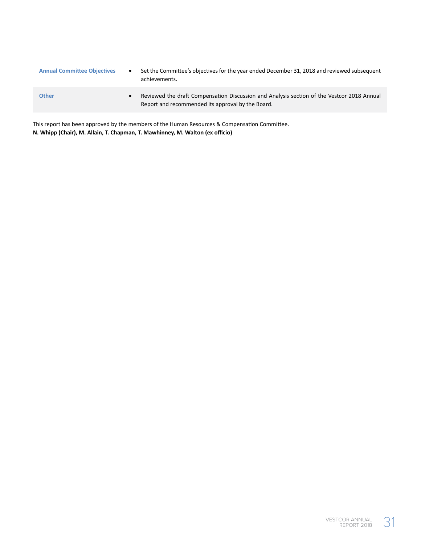| <b>Annual Committee Objectives</b> | ٠ | Set the Committee's objectives for the year ended December 31, 2018 and reviewed subsequent<br>achievements.                                    |
|------------------------------------|---|-------------------------------------------------------------------------------------------------------------------------------------------------|
| <b>Other</b>                       |   | Reviewed the draft Compensation Discussion and Analysis section of the Vestcor 2018 Annual<br>Report and recommended its approval by the Board. |

This report has been approved by the members of the Human Resources & Compensation Committee. **N. Whipp (Chair), M. Allain, T. Chapman, T. Mawhinney, M. Walton (ex officio)**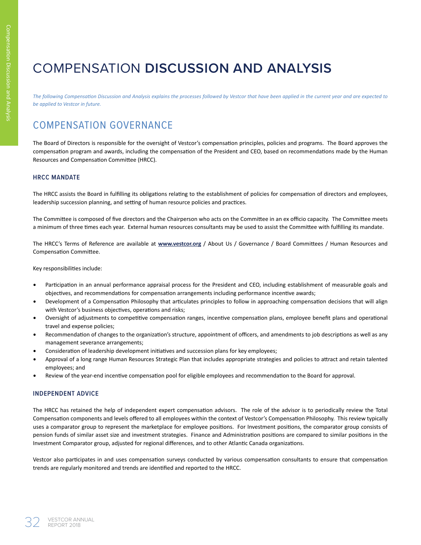# COMPENSATION **DISCUSSION AND ANALYSIS**

*The following Compensation Discussion and Analysis explains the processes followed by Vestcor that have been applied in the current year and are expected to be applied to Vestcor in future.*

# COMPENSATION GOVERNANCE

The Board of Directors is responsible for the oversight of Vestcor's compensation principles, policies and programs. The Board approves the compensation program and awards, including the compensation of the President and CEO, based on recommendations made by the Human Resources and Compensation Committee (HRCC).

### **HRCC MANDATE**

The HRCC assists the Board in fulfilling its obligations relating to the establishment of policies for compensation of directors and employees, leadership succession planning, and setting of human resource policies and practices.

The Committee is composed of five directors and the Chairperson who acts on the Committee in an ex officio capacity. The Committee meets a minimum of three times each year. External human resources consultants may be used to assist the Committee with fulfilling its mandate.

The HRCC's Terms of Reference are available at **www.vestcor.org** / About Us / Governance / Board Committees / Human Resources and Compensation Committee.

Key responsibilities include:

- Participation in an annual performance appraisal process for the President and CEO, including establishment of measurable goals and objectives, and recommendations for compensation arrangements including performance incentive awards;
- Development of a Compensation Philosophy that articulates principles to follow in approaching compensation decisions that will align with Vestcor's business objectives, operations and risks;
- Oversight of adjustments to competitive compensation ranges, incentive compensation plans, employee benefit plans and operational travel and expense policies;
- Recommendation of changes to the organization's structure, appointment of officers, and amendments to job descriptions as well as any management severance arrangements;
- Consideration of leadership development initiatives and succession plans for key employees;
- Approval of a long range Human Resources Strategic Plan that includes appropriate strategies and policies to attract and retain talented employees; and
- Review of the year-end incentive compensation pool for eligible employees and recommendation to the Board for approval.

### **INDEPENDENT ADVICE**

The HRCC has retained the help of independent expert compensation advisors. The role of the advisor is to periodically review the Total Compensation components and levels offered to all employees within the context of Vestcor's Compensation Philosophy. This review typically uses a comparator group to represent the marketplace for employee positions. For Investment positions, the comparator group consists of pension funds of similar asset size and investment strategies. Finance and Administration positions are compared to similar positions in the Investment Comparator group, adjusted for regional differences, and to other Atlantic Canada organizations.

Vestcor also participates in and uses compensation surveys conducted by various compensation consultants to ensure that compensation trends are regularly monitored and trends are identified and reported to the HRCC.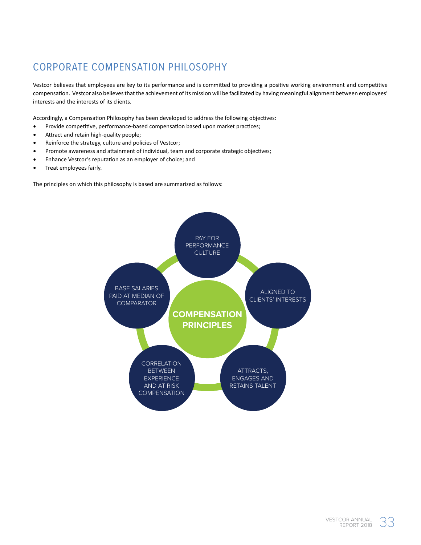# CORPORATE COMPENSATION PHILOSOPHY

Vestcor believes that employees are key to its performance and is committed to providing a positive working environment and competitive compensation. Vestcor also believes that the achievement of its mission will be facilitated by having meaningful alignment between employees' interests and the interests of its clients.

Accordingly, a Compensation Philosophy has been developed to address the following objectives:

- Provide competitive, performance-based compensation based upon market practices;
- Attract and retain high-quality people;
- Reinforce the strategy, culture and policies of Vestcor;
- Promote awareness and attainment of individual, team and corporate strategic objectives;
- Enhance Vestcor's reputation as an employer of choice; and
- Treat employees fairly.

The principles on which this philosophy is based are summarized as follows:

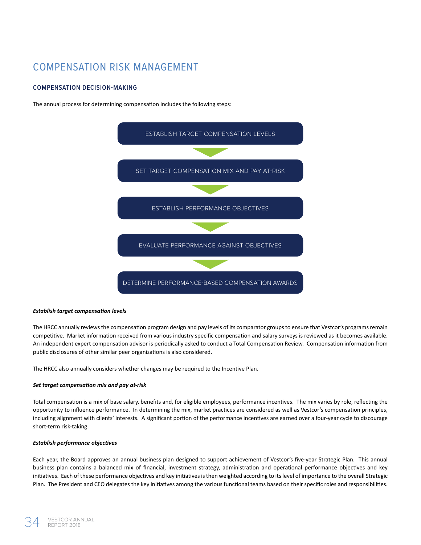# COMPENSATION RISK MANAGEMENT

### **COMPENSATION DECISION-MAKING**

The annual process for determining compensation includes the following steps:



### *Establish target compensation levels*

The HRCC annually reviews the compensation program design and pay levels of its comparator groups to ensure that Vestcor's programs remain competitive. Market information received from various industry specific compensation and salary surveys is reviewed as it becomes available. An independent expert compensation advisor is periodically asked to conduct a Total Compensation Review. Compensation information from public disclosures of other similar peer organizations is also considered.

The HRCC also annually considers whether changes may be required to the Incentive Plan.

#### *Set target compensation mix and pay at-risk*

Total compensation is a mix of base salary, benefits and, for eligible employees, performance incentives. The mix varies by role, reflecting the opportunity to influence performance. In determining the mix, market practices are considered as well as Vestcor's compensation principles, including alignment with clients' interests. A significant portion of the performance incentives are earned over a four-year cycle to discourage short-term risk-taking.

### *Establish performance objectives*

Each year, the Board approves an annual business plan designed to support achievement of Vestcor's five-year Strategic Plan. This annual business plan contains a balanced mix of financial, investment strategy, administration and operational performance objectives and key initiatives. Each of these performance objectives and key initiatives is then weighted according to its level of importance to the overall Strategic Plan. The President and CEO delegates the key initiatives among the various functional teams based on their specific roles and responsibilities.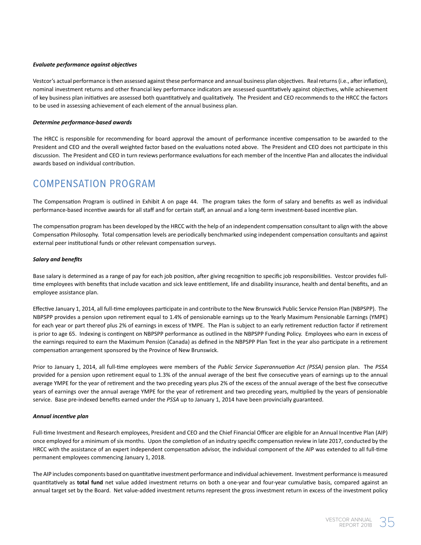#### *Evaluate performance against objectives*

Vestcor's actual performance is then assessed against these performance and annual business plan objectives. Real returns (i.e., after inflation), nominal investment returns and other financial key performance indicators are assessed quantitatively against objectives, while achievement of key business plan initiatives are assessed both quantitatively and qualitatively. The President and CEO recommends to the HRCC the factors to be used in assessing achievement of each element of the annual business plan.

#### *Determine performance-based awards*

The HRCC is responsible for recommending for board approval the amount of performance incentive compensation to be awarded to the President and CEO and the overall weighted factor based on the evaluations noted above. The President and CEO does not participate in this discussion. The President and CEO in turn reviews performance evaluations for each member of the Incentive Plan and allocates the individual awards based on individual contribution.

### COMPENSATION PROGRAM

The Compensation Program is outlined in Exhibit A on page 44. The program takes the form of salary and benefits as well as individual performance-based incentive awards for all staff and for certain staff, an annual and a long-term investment-based incentive plan.

The compensation program has been developed by the HRCC with the help of an independent compensation consultant to align with the above Compensation Philosophy. Total compensation levels are periodically benchmarked using independent compensation consultants and against external peer institutional funds or other relevant compensation surveys.

#### *Salary and benefits*

Base salary is determined as a range of pay for each job position, after giving recognition to specific job responsibilities. Vestcor provides fulltime employees with benefits that include vacation and sick leave entitlement, life and disability insurance, health and dental benefits, and an employee assistance plan.

Effective January 1, 2014, all full-time employees participate in and contribute to the New Brunswick Public Service Pension Plan (NBPSPP). The NBPSPP provides a pension upon retirement equal to 1.4% of pensionable earnings up to the Yearly Maximum Pensionable Earnings (YMPE) for each year or part thereof plus 2% of earnings in excess of YMPE. The Plan is subject to an early retirement reduction factor if retirement is prior to age 65. Indexing is contingent on NBPSPP performance as outlined in the NBPSPP Funding Policy. Employees who earn in excess of the earnings required to earn the Maximum Pension (Canada) as defined in the NBPSPP Plan Text in the year also participate in a retirement compensation arrangement sponsored by the Province of New Brunswick.

Prior to January 1, 2014, all full-time employees were members of the *Public Service Superannuation Act (PSSA)* pension plan. The *PSSA*  provided for a pension upon retirement equal to 1.3% of the annual average of the best five consecutive years of earnings up to the annual average YMPE for the year of retirement and the two preceding years plus 2% of the excess of the annual average of the best five consecutive years of earnings over the annual average YMPE for the year of retirement and two preceding years, multiplied by the years of pensionable service. Base pre-indexed benefits earned under the *PSSA* up to January 1, 2014 have been provincially guaranteed.

#### *Annual incentive plan*

Full-time Investment and Research employees, President and CEO and the Chief Financial Officer are eligible for an Annual Incentive Plan (AIP) once employed for a minimum of six months. Upon the completion of an industry specific compensation review in late 2017, conducted by the HRCC with the assistance of an expert independent compensation advisor, the individual component of the AIP was extended to all full-time permanent employees commencing January 1, 2018.

The AIP includes components based on quantitative investment performance and individual achievement. Investment performance is measured quantitatively as **total fund** net value added investment returns on both a one-year and four-year cumulative basis, compared against an annual target set by the Board. Net value-added investment returns represent the gross investment return in excess of the investment policy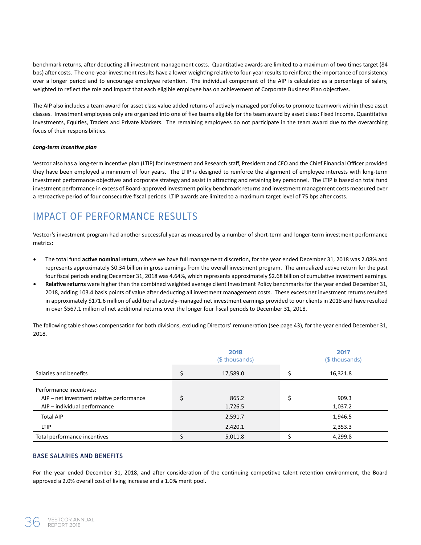benchmark returns, after deducting all investment management costs. Quantitative awards are limited to a maximum of two times target (84 bps) after costs. The one-year investment results have a lower weighting relative to four-year results to reinforce the importance of consistency over a longer period and to encourage employee retention. The individual component of the AIP is calculated as a percentage of salary, weighted to reflect the role and impact that each eligible employee has on achievement of Corporate Business Plan objectives.

The AIP also includes a team award for asset class value added returns of actively managed portfolios to promote teamwork within these asset classes. Investment employees only are organized into one of five teams eligible for the team award by asset class: Fixed Income, Quantitative Investments, Equities, Traders and Private Markets. The remaining employees do not participate in the team award due to the overarching focus of their responsibilities.

#### *Long-term incentive plan*

Vestcor also has a long-term incentive plan (LTIP) for Investment and Research staff, President and CEO and the Chief Financial Officer provided they have been employed a minimum of four years. The LTIP is designed to reinforce the alignment of employee interests with long-term investment performance objectives and corporate strategy and assist in attracting and retaining key personnel. The LTIP is based on total fund investment performance in excess of Board-approved investment policy benchmark returns and investment management costs measured over a retroactive period of four consecutive fiscal periods. LTIP awards are limited to a maximum target level of 75 bps after costs.

# IMPACT OF PERFORMANCE RESULTS

Vestcor's investment program had another successful year as measured by a number of short-term and longer-term investment performance metrics:

- The total fund **active nominal return**, where we have full management discretion, for the year ended December 31, 2018 was 2.08% and represents approximately \$0.34 billion in gross earnings from the overall investment program. The annualized active return for the past four fiscal periods ending December 31, 2018 was 4.64%, which represents approximately \$2.68 billion of cumulative investment earnings.
- **Relative returns** were higher than the combined weighted average client Investment Policy benchmarks for the year ended December 31, 2018, adding 103.4 basis points of value after deducting all investment management costs. These excess net investment returns resulted in approximately \$171.6 million of additional actively-managed net investment earnings provided to our clients in 2018 and have resulted in over \$567.1 million of net additional returns over the longer four fiscal periods to December 31, 2018.

The following table shows compensation for both divisions, excluding Directors' remuneration (see page 43), for the year ended December 31, 2018.

|                                           | 2018<br>(\$ thousands) | 2017<br>(\$ thousands) |
|-------------------------------------------|------------------------|------------------------|
| Salaries and benefits                     | 17,589.0               | 16,321.8               |
| Performance incentives:                   |                        |                        |
| AIP – net investment relative performance | 865.2                  | 909.3                  |
| AIP - individual performance              | 1,726.5                | 1,037.2                |
| <b>Total AIP</b>                          | 2,591.7                | 1,946.5                |
| <b>LTIP</b>                               | 2,420.1                | 2,353.3                |
| Total performance incentives              | 5,011.8                | 4,299.8                |

### **BASE SALARIES AND BENEFITS**

For the year ended December 31, 2018, and after consideration of the continuing competitive talent retention environment, the Board approved a 2.0% overall cost of living increase and a 1.0% merit pool.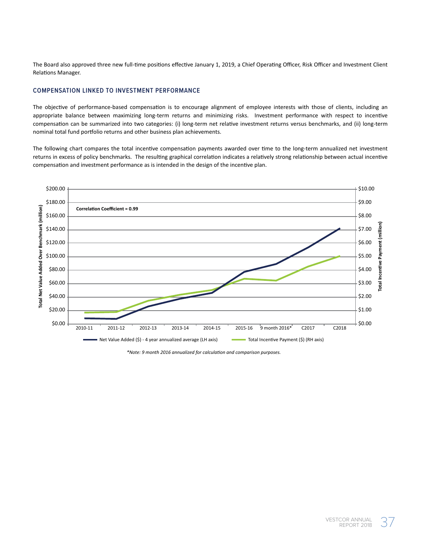The Board also approved three new full-time positions effective January 1, 2019, a Chief Operating Officer, Risk Officer and Investment Client Relations Manager.

### **COMPENSATION LINKED TO INVESTMENT PERFORMANCE**

The objective of performance-based compensation is to encourage alignment of employee interests with those of clients, including an appropriate balance between maximizing long-term returns and minimizing risks. Investment performance with respect to incentive compensation can be summarized into two categories: (i) long-term net relative investment returns versus benchmarks, and (ii) long-term nominal total fund portfolio returns and other business plan achievements.

The following chart compares the total incentive compensation payments awarded over time to the long-term annualized net investment returns in excess of policy benchmarks. The resulting graphical correlation indicates a relatively strong relationship between actual incentive compensation and investment performance as is intended in the design of the incentive plan.



*\*Note: 9 month 2016 annualized for calculation and comparison purposes.*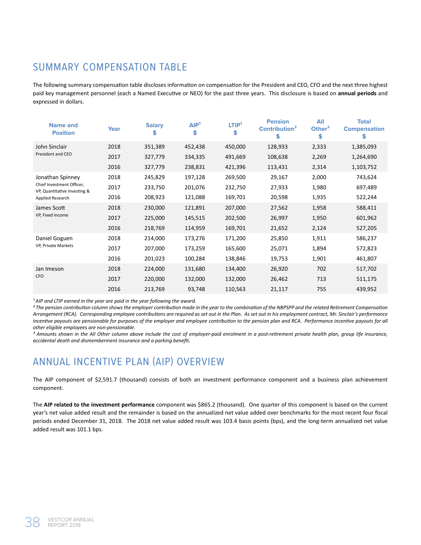# SUMMARY COMPENSATION TABLE

The following summary compensation table discloses information on compensation for the President and CEO, CFO and the next three highest paid key management personnel (each a Named Executive or NEO) for the past three years. This disclosure is based on **annual periods** and expressed in dollars.

| <b>Name and</b><br><b>Position</b>                        | Year | <b>Salary</b><br>\$ | AIP <sup>1</sup><br>\$ | LTIP <sup>1</sup><br>\$ | <b>Pension</b><br>Contribution <sup>2</sup><br>\$ | All<br>Other $3$<br>\$ | <b>Total</b><br><b>Compensation</b><br>\$ |
|-----------------------------------------------------------|------|---------------------|------------------------|-------------------------|---------------------------------------------------|------------------------|-------------------------------------------|
| John Sinclair                                             | 2018 | 351,389             | 452,438                | 450,000                 | 128,933                                           | 2,333                  | 1,385,093                                 |
| President and CEO                                         | 2017 | 327,779             | 334,335                | 491,669                 | 108,638                                           | 2,269                  | 1,264,690                                 |
|                                                           | 2016 | 327,779             | 238,831                | 421,396                 | 113,431                                           | 2,314                  | 1,103,752                                 |
| Jonathan Spinney                                          | 2018 | 245,829             | 197,128                | 269,500                 | 29,167                                            | 2,000                  | 743,624                                   |
| Chief Investment Officer,<br>VP, Quantitative Investing & | 2017 | 233,750             | 201,076                | 232,750                 | 27,933                                            | 1,980                  | 697,489                                   |
| Applied Research                                          | 2016 | 208,923             | 121,088                | 169,701                 | 20,598                                            | 1,935                  | 522,244                                   |
| James Scott<br>VP, Fixed Income                           | 2018 | 230,000             | 121,891                | 207,000                 | 27,562                                            | 1,958                  | 588,411                                   |
|                                                           | 2017 | 225,000             | 145,515                | 202,500                 | 26,997                                            | 1,950                  | 601,962                                   |
|                                                           | 2016 | 218,769             | 114,959                | 169,701                 | 21,652                                            | 2,124                  | 527,205                                   |
| Daniel Goguen                                             | 2018 | 214,000             | 173,276                | 171,200                 | 25,850                                            | 1,911                  | 586,237                                   |
| VP, Private Markets                                       | 2017 | 207,000             | 173,259                | 165,600                 | 25,071                                            | 1,894                  | 572,823                                   |
|                                                           | 2016 | 201,023             | 100,284                | 138,846                 | 19,753                                            | 1,901                  | 461,807                                   |
| Jan Imeson<br><b>CFO</b>                                  | 2018 | 224,000             | 131,680                | 134,400                 | 26,920                                            | 702                    | 517,702                                   |
|                                                           | 2017 | 220,000             | 132,000                | 132,000                 | 26,462                                            | 713                    | 511,175                                   |
|                                                           | 2016 | 213,769             | 93,748                 | 110,563                 | 21,117                                            | 755                    | 439,952                                   |

<sup>1</sup> AIP and LTIP earned in the year are paid in the year following the award.

*² The pension contribution column shows the employer contribution made in the year to the combination of the NBPSPP and the related Retirement Compensation Arrangement (RCA). Corresponding employee contributions are required as set out in the Plan. As set out in his employment contract, Mr. Sinclair's performance*  incentive payouts are pensionable for purposes of the employer and employee contribution to the pension plan and RCA. Performance incentive payouts for all *other eligible employees are non-pensionable.*

*³ Amounts shown in the All Other column above include the cost of employer-paid enrolment in a post-retirement private health plan, group life insurance, accidental death and dismemberment insurance and a parking benefit.*

# ANNUAL INCENTIVE PLAN (AIP) OVERVIEW

The AIP component of \$2,591.7 (thousand) consists of both an investment performance component and a business plan achievement component.

The **AIP related to the investment performance** component was \$865.2 (thousand). One quarter of this component is based on the current year's net value added result and the remainder is based on the annualized net value added over benchmarks for the most recent four fiscal periods ended December 31, 2018. The 2018 net value added result was 103.4 basis points (bps), and the long-term annualized net value added result was 101.1 bps.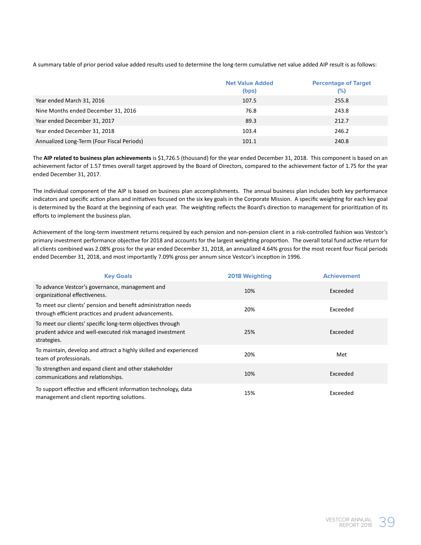A summary table of prior period value added results used to determine the long-term cumulative net value added AIP result is as follows:

|                                            | <b>Net Value Added</b><br>(bps) | <b>Percentage of Target</b><br>$(\%)$ |
|--------------------------------------------|---------------------------------|---------------------------------------|
| Year ended March 31, 2016                  | 107.5                           | 255.8                                 |
| Nine Months ended December 31, 2016        | 76.8                            | 243.8                                 |
| Year ended December 31, 2017               | 89.3                            | 212.7                                 |
| Year ended December 31, 2018               | 103.4                           | 246.2                                 |
| Annualized Long-Term (Four Fiscal Periods) | 101.1                           | 240.8                                 |

The **AIP related to business plan achievements** is \$1,726.5 (thousand) for the year ended December 31, 2018. This component is based on an achievement factor of 1.57 times overall target approved by the Board of Directors, compared to the achievement factor of 1.75 for the year ended December 31, 2017.

The individual component of the AIP is based on business plan accomplishments. The annual business plan includes both key performance indicators and specific action plans and initiatives focused on the six key goals in the Corporate Mission. A specific weighting for each key goal is determined by the Board at the beginning of each year. The weighting reflects the Board's direction to management for prioritization of its efforts to implement the business plan.

Achievement of the long-term investment returns required by each pension and non-pension client in a risk-controlled fashion was Vestcor's primary investment performance objective for 2018 and accounts for the largest weighting proportion. The overall total fund active return for all clients combined was 2.08% gross for the year ended December 31, 2018, an annualized 4.64% gross for the most recent four fiscal periods ended December 31, 2018, and most importantly 7.09% gross per annum since Vestcor's inception in 1996.

| <b>Key Goals</b>                                                                                                                      | 2018 Weighting | <b>Achievement</b> |
|---------------------------------------------------------------------------------------------------------------------------------------|----------------|--------------------|
| To advance Vestcor's governance, management and<br>organizational effectiveness.                                                      | 10%            | Exceeded           |
| To meet our clients' pension and benefit administration needs<br>through efficient practices and prudent advancements.                | 20%            | Exceeded           |
| To meet our clients' specific long-term objectives through<br>prudent advice and well-executed risk managed investment<br>strategies. | 25%            | Exceeded           |
| To maintain, develop and attract a highly skilled and experienced<br>team of professionals.                                           | 20%            | Met                |
| To strengthen and expand client and other stakeholder<br>communications and relationships.                                            | 10%            | Exceeded           |
| To support effective and efficient information technology, data<br>management and client reporting solutions.                         | 15%            | Exceeded           |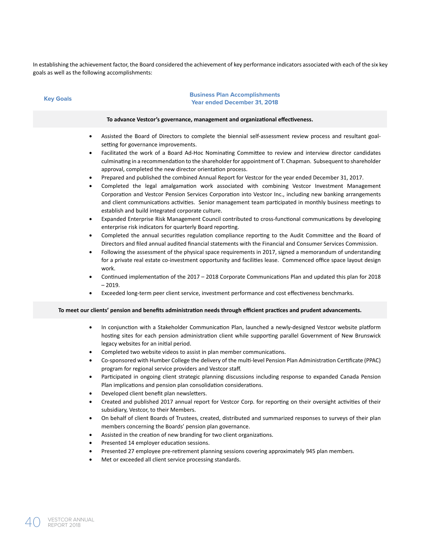In establishing the achievement factor, the Board considered the achievement of key performance indicators associated with each of the six key goals as well as the following accomplishments:

| <b>Key Goals</b>                                                                                                  | <b>Business Plan Accomplishments</b><br><b>Year ended December 31, 2018</b>                                                                                                                                                                                                                                                                                                                                                                                                                                                                                                                                                                                                                                                                                                                                                                                                                                                                                                                                                                                                                                                                                                                                                                                                                                                                                                                                                                                                                                                                                                                                                                                                                                                                                                                                 |
|-------------------------------------------------------------------------------------------------------------------|-------------------------------------------------------------------------------------------------------------------------------------------------------------------------------------------------------------------------------------------------------------------------------------------------------------------------------------------------------------------------------------------------------------------------------------------------------------------------------------------------------------------------------------------------------------------------------------------------------------------------------------------------------------------------------------------------------------------------------------------------------------------------------------------------------------------------------------------------------------------------------------------------------------------------------------------------------------------------------------------------------------------------------------------------------------------------------------------------------------------------------------------------------------------------------------------------------------------------------------------------------------------------------------------------------------------------------------------------------------------------------------------------------------------------------------------------------------------------------------------------------------------------------------------------------------------------------------------------------------------------------------------------------------------------------------------------------------------------------------------------------------------------------------------------------------|
|                                                                                                                   | To advance Vestcor's governance, management and organizational effectiveness.                                                                                                                                                                                                                                                                                                                                                                                                                                                                                                                                                                                                                                                                                                                                                                                                                                                                                                                                                                                                                                                                                                                                                                                                                                                                                                                                                                                                                                                                                                                                                                                                                                                                                                                               |
| $\bullet$<br>$\bullet$<br>$\bullet$<br>$\bullet$<br>$\bullet$<br>$\bullet$<br>$\bullet$<br>$\bullet$<br>$\bullet$ | Assisted the Board of Directors to complete the biennial self-assessment review process and resultant goal-<br>setting for governance improvements.<br>Facilitated the work of a Board Ad-Hoc Nominating Committee to review and interview director candidates<br>culminating in a recommendation to the shareholder for appointment of T. Chapman. Subsequent to shareholder<br>approval, completed the new director orientation process.<br>Prepared and published the combined Annual Report for Vestcor for the year ended December 31, 2017.<br>Completed the legal amalgamation work associated with combining Vestcor Investment Management<br>Corporation and Vestcor Pension Services Corporation into Vestcor Inc., including new banking arrangements<br>and client communications activities. Senior management team participated in monthly business meetings to<br>establish and build integrated corporate culture.<br>Expanded Enterprise Risk Management Council contributed to cross-functional communications by developing<br>enterprise risk indicators for quarterly Board reporting.<br>Completed the annual securities regulation compliance reporting to the Audit Committee and the Board of<br>Directors and filed annual audited financial statements with the Financial and Consumer Services Commission.<br>Following the assessment of the physical space requirements in 2017, signed a memorandum of understanding<br>for a private real estate co-investment opportunity and facilities lease. Commenced office space layout design<br>work.<br>Continued implementation of the 2017 - 2018 Corporate Communications Plan and updated this plan for 2018<br>$-2019.$<br>Exceeded long-term peer client service, investment performance and cost effectiveness benchmarks. |
|                                                                                                                   | To meet our clients' pension and benefits administration needs through efficient practices and prudent advancements.                                                                                                                                                                                                                                                                                                                                                                                                                                                                                                                                                                                                                                                                                                                                                                                                                                                                                                                                                                                                                                                                                                                                                                                                                                                                                                                                                                                                                                                                                                                                                                                                                                                                                        |
| $\bullet$<br>$\bullet$<br>$\bullet$<br>$\bullet$<br>٠<br>٠<br>$\bullet$<br>$\bullet$                              | In conjunction with a Stakeholder Communication Plan, launched a newly-designed Vestcor website platform<br>hosting sites for each pension administration client while supporting parallel Government of New Brunswick<br>legacy websites for an initial period.<br>Completed two website videos to assist in plan member communications.<br>Co-sponsored with Humber College the delivery of the multi-level Pension Plan Administration Certificate (PPAC)<br>program for regional service providers and Vestcor staff.<br>Participated in ongoing client strategic planning discussions including response to expanded Canada Pension<br>Plan implications and pension plan consolidation considerations.<br>Developed client benefit plan newsletters.<br>Created and published 2017 annual report for Vestcor Corp. for reporting on their oversight activities of their<br>subsidiary, Vestcor, to their Members.<br>On behalf of client Boards of Trustees, created, distributed and summarized responses to surveys of their plan<br>members concerning the Boards' pension plan governance.<br>Assisted in the creation of new branding for two client organizations.<br>Presented 14 employer education sessions.<br>Presented 27 employee pre-retirement planning sessions covering approximately 945 plan members.<br>Met or exceeded all client service processing standards.                                                                                                                                                                                                                                                                                                                                                                                                                  |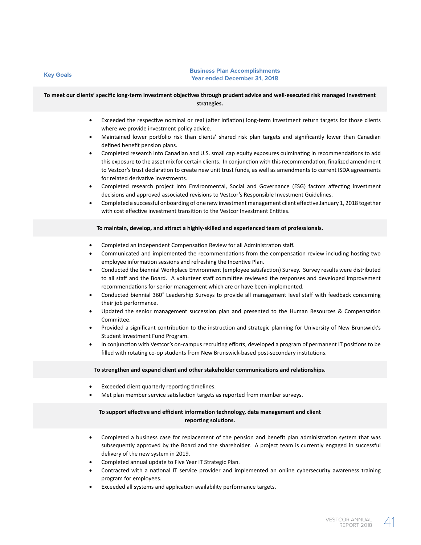#### **Key Goals Business Plan Accomplishments Year ended December 31, 2018**

### **To meet our clients' specific long-term investment objectives through prudent advice and well-executed risk managed investment strategies.**

- Exceeded the respective nominal or real (after inflation) long-term investment return targets for those clients where we provide investment policy advice.
- Maintained lower portfolio risk than clients' shared risk plan targets and significantly lower than Canadian defined benefit pension plans.
- Completed research into Canadian and U.S. small cap equity exposures culminating in recommendations to add this exposure to the asset mix for certain clients. In conjunction with this recommendation, finalized amendment to Vestcor's trust declaration to create new unit trust funds, as well as amendments to current ISDA agreements for related derivative investments.
- Completed research project into Environmental, Social and Governance (ESG) factors affecting investment decisions and approved associated revisions to Vestcor's Responsible Investment Guidelines.
- Completed a successful onboarding of one new investment management client effective January 1, 2018 together with cost effective investment transition to the Vestcor Investment Entities.

#### **To maintain, develop, and attract a highly-skilled and experienced team of professionals.**

- Completed an independent Compensation Review for all Administration staff.
- Communicated and implemented the recommendations from the compensation review including hosting two employee information sessions and refreshing the Incentive Plan.
- Conducted the biennial Workplace Environment (employee satisfaction) Survey. Survey results were distributed to all staff and the Board. A volunteer staff committee reviewed the responses and developed improvement recommendations for senior management which are or have been implemented.
- Conducted biennial 360˚ Leadership Surveys to provide all management level staff with feedback concerning their job performance.
- Updated the senior management succession plan and presented to the Human Resources & Compensation Committee.
- Provided a significant contribution to the instruction and strategic planning for University of New Brunswick's Student Investment Fund Program.
- In conjunction with Vestcor's on-campus recruiting efforts, developed a program of permanent IT positions to be filled with rotating co-op students from New Brunswick-based post-secondary institutions.

#### **To strengthen and expand client and other stakeholder communications and relationships.**

- Exceeded client quarterly reporting timelines.
- Met plan member service satisfaction targets as reported from member surveys.

### **To support effective and efficient information technology, data management and client reporting solutions.**

- Completed a business case for replacement of the pension and benefit plan administration system that was subsequently approved by the Board and the shareholder. A project team is currently engaged in successful delivery of the new system in 2019.
- Completed annual update to Five Year IT Strategic Plan.
- Contracted with a national IT service provider and implemented an online cybersecurity awareness training program for employees.
- Exceeded all systems and application availability performance targets.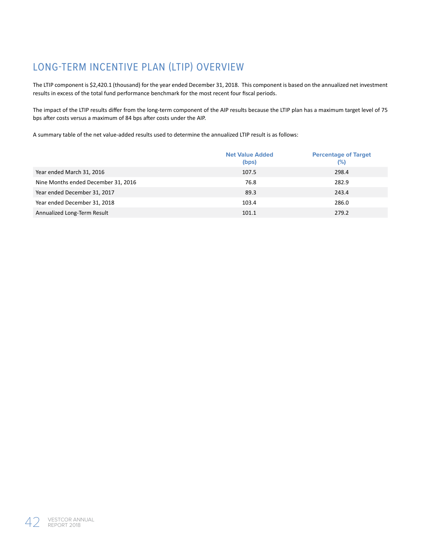# LONG-TERM INCENTIVE PLAN (LTIP) OVERVIEW

The LTIP component is \$2,420.1 (thousand) for the year ended December 31, 2018. This component is based on the annualized net investment results in excess of the total fund performance benchmark for the most recent four fiscal periods.

The impact of the LTIP results differ from the long-term component of the AIP results because the LTIP plan has a maximum target level of 75 bps after costs versus a maximum of 84 bps after costs under the AIP.

A summary table of the net value-added results used to determine the annualized LTIP result is as follows:

|                                     | <b>Net Value Added</b><br>(bps) | <b>Percentage of Target</b><br>$(\%)$ |
|-------------------------------------|---------------------------------|---------------------------------------|
| Year ended March 31, 2016           | 107.5                           | 298.4                                 |
| Nine Months ended December 31, 2016 | 76.8                            | 282.9                                 |
| Year ended December 31, 2017        | 89.3                            | 243.4                                 |
| Year ended December 31, 2018        | 103.4                           | 286.0                                 |
| Annualized Long-Term Result         | 101.1                           | 279.2                                 |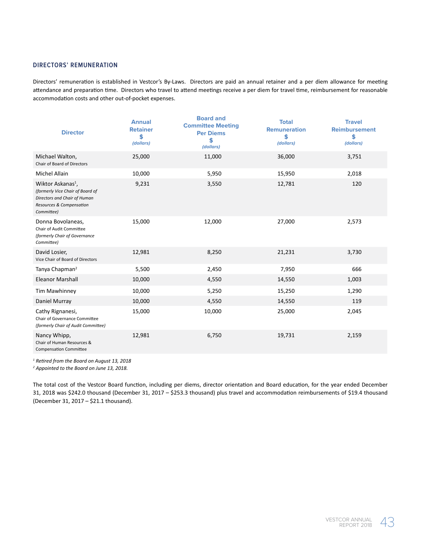### **DIRECTORS' REMUNERATION**

Directors' remuneration is established in Vestcor's By-Laws. Directors are paid an annual retainer and a per diem allowance for meeting attendance and preparation time. Directors who travel to attend meetings receive a per diem for travel time, reimbursement for reasonable accommodation costs and other out-of-pocket expenses.

| <b>Director</b>                                                                                                                             | <b>Annual</b><br><b>Retainer</b><br>\$<br>(dollars) | <b>Board and</b><br><b>Committee Meeting</b><br><b>Per Diems</b><br>\$<br>(dollars) | <b>Total</b><br><b>Remuneration</b><br>\$<br>(dollars) | <b>Travel</b><br><b>Reimbursement</b><br>\$<br>(dollars) |
|---------------------------------------------------------------------------------------------------------------------------------------------|-----------------------------------------------------|-------------------------------------------------------------------------------------|--------------------------------------------------------|----------------------------------------------------------|
| Michael Walton,<br>Chair of Board of Directors                                                                                              | 25,000                                              | 11,000                                                                              | 36,000                                                 | 3,751                                                    |
| <b>Michel Allain</b>                                                                                                                        | 10,000                                              | 5,950                                                                               | 15,950                                                 | 2,018                                                    |
| Wiktor Askanas <sup>1</sup> ,<br>(formerly Vice Chair of Board of<br>Directors and Chair of Human<br>Resources & Compensation<br>Committee) | 9,231                                               | 3,550                                                                               | 12,781                                                 | 120                                                      |
| Donna Bovolaneas,<br>Chair of Audit Committee<br>(formerly Chair of Governance<br>Committee)                                                | 15,000                                              | 12,000                                                                              | 27,000                                                 | 2,573                                                    |
| David Losier,<br>Vice Chair of Board of Directors                                                                                           | 12,981                                              | 8,250                                                                               | 21,231                                                 | 3,730                                                    |
| Tanya Chapman <sup>2</sup>                                                                                                                  | 5,500                                               | 2,450                                                                               | 7,950                                                  | 666                                                      |
| <b>Eleanor Marshall</b>                                                                                                                     | 10,000                                              | 4,550                                                                               | 14,550                                                 | 1,003                                                    |
| Tim Mawhinney                                                                                                                               | 10,000                                              | 5,250                                                                               | 15,250                                                 | 1,290                                                    |
| Daniel Murray                                                                                                                               | 10,000                                              | 4,550                                                                               | 14,550                                                 | 119                                                      |
| Cathy Rignanesi,<br>Chair of Governance Committee<br>(formerly Chair of Audit Committee)                                                    | 15,000                                              | 10,000                                                                              | 25,000                                                 | 2,045                                                    |
| Nancy Whipp,<br>Chair of Human Resources &<br><b>Compensation Committee</b>                                                                 | 12,981                                              | 6,750                                                                               | 19,731                                                 | 2,159                                                    |
|                                                                                                                                             |                                                     |                                                                                     |                                                        |                                                          |

*1 Retired from the Board on August 13, 2018*

*2 Appointed to the Board on June 13, 2018.*

The total cost of the Vestcor Board function, including per diems, director orientation and Board education, for the year ended December 31, 2018 was \$242.0 thousand (December 31, 2017 – \$253.3 thousand) plus travel and accommodation reimbursements of \$19.4 thousand (December 31, 2017 – \$21.1 thousand).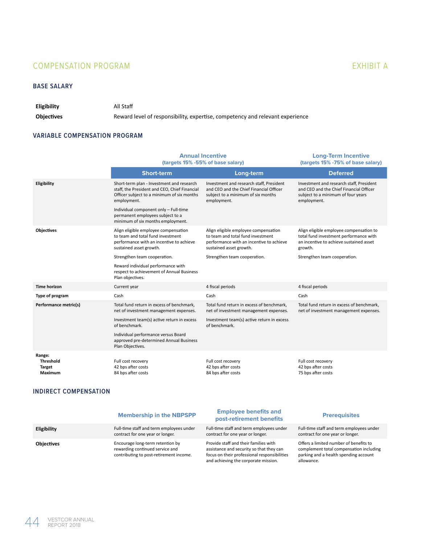### COMPENSATION PROGRAM EXHIBIT A

### **BASE SALARY**

**Eligibility** All Staff

**Objectives** Reward level of responsibility, expertise, competency and relevant experience

### **VARIABLE COMPENSATION PROGRAM**

|                                                 | <b>Annual Incentive</b><br>(targets 15% -55% of base salary)                                                                                            |                                                                                                                                                  | <b>Long-Term Incentive</b><br>(targets 15% - 75% of base salary)                                                                         |
|-------------------------------------------------|---------------------------------------------------------------------------------------------------------------------------------------------------------|--------------------------------------------------------------------------------------------------------------------------------------------------|------------------------------------------------------------------------------------------------------------------------------------------|
|                                                 | <b>Short-term</b>                                                                                                                                       | Long-term                                                                                                                                        | <b>Deferred</b>                                                                                                                          |
| Eligibility                                     | Short-term plan - Investment and research<br>staff, the President and CEO, Chief Financial<br>Officer subject to a minimum of six months<br>employment. | Investment and research staff, President<br>and CEO and the Chief Financial Officer<br>subject to a minimum of six months<br>employment.         | Investment and research staff, President<br>and CEO and the Chief Financial Officer<br>subject to a minimum of four years<br>employment. |
|                                                 | Individual component only - Full-time<br>permanent employees subject to a<br>minimum of six months employment.                                          |                                                                                                                                                  |                                                                                                                                          |
| <b>Objectives</b>                               | Align eligible employee compensation<br>to team and total fund investment<br>performance with an incentive to achieve<br>sustained asset growth.        | Align eligible employee compensation<br>to team and total fund investment<br>performance with an incentive to achieve<br>sustained asset growth. | Align eligible employee compensation to<br>total fund investment performance with<br>an incentive to achieve sustained asset<br>growth.  |
|                                                 | Strengthen team cooperation.<br>Strengthen team cooperation.                                                                                            |                                                                                                                                                  | Strengthen team cooperation.                                                                                                             |
|                                                 | Reward individual performance with<br>respect to achievement of Annual Business<br>Plan objectives.                                                     |                                                                                                                                                  |                                                                                                                                          |
| <b>Time horizon</b>                             | Current year                                                                                                                                            | 4 fiscal periods                                                                                                                                 | 4 fiscal periods                                                                                                                         |
| Type of program                                 | Cash                                                                                                                                                    | Cash                                                                                                                                             | Cash                                                                                                                                     |
| Performance metric(s)                           | Total fund return in excess of benchmark,<br>net of investment management expenses.                                                                     | Total fund return in excess of benchmark,<br>net of investment management expenses.                                                              | Total fund return in excess of benchmark,<br>net of investment management expenses.                                                      |
|                                                 | Investment team(s) active return in excess<br>of benchmark.                                                                                             | Investment team(s) active return in excess<br>of benchmark.                                                                                      |                                                                                                                                          |
|                                                 | Individual performance versus Board<br>approved pre-determined Annual Business<br>Plan Objectives.                                                      |                                                                                                                                                  |                                                                                                                                          |
| Range:<br>Threshold<br><b>Target</b><br>Maximum | Full cost recovery<br>42 bps after costs<br>84 bps after costs                                                                                          | Full cost recovery<br>42 bps after costs<br>84 bps after costs                                                                                   | Full cost recovery<br>42 bps after costs<br>75 bps after costs                                                                           |

### **INDIRECT COMPENSATION**

|                    | <b>Membership in the NBPSPP</b>                                                                                | <b>Employee benefits and</b><br>post-retirement benefits                                                                                                                  | <b>Prerequisites</b>                                                                                                                     |
|--------------------|----------------------------------------------------------------------------------------------------------------|---------------------------------------------------------------------------------------------------------------------------------------------------------------------------|------------------------------------------------------------------------------------------------------------------------------------------|
| <b>Eligibility</b> | Full-time staff and term employees under<br>contract for one year or longer.                                   | Full-time staff and term employees under<br>contract for one year or longer.                                                                                              | Full-time staff and term employees under<br>contract for one year or longer.                                                             |
| <b>Objectives</b>  | Encourage long-term retention by<br>rewarding continued service and<br>contributing to post-retirement income. | Provide staff and their families with<br>assistance and security so that they can<br>focus on their professional responsibilities<br>and achieving the corporate mission. | Offers a limited number of benefits to<br>complement total compensation including<br>parking and a health spending account<br>allowance. |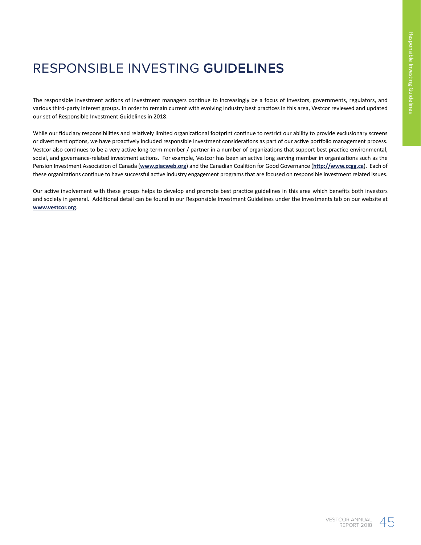# RESPONSIBLE INVESTING **GUIDELINES**

The responsible investment actions of investment managers continue to increasingly be a focus of investors, governments, regulators, and various third-party interest groups. In order to remain current with evolving industry best practices in this area, Vestcor reviewed and updated our set of Responsible Investment Guidelines in 2018.

While our fiduciary responsibilities and relatively limited organizational footprint continue to restrict our ability to provide exclusionary screens or divestment options, we have proactively included responsible investment considerations as part of our active portfolio management process. Vestcor also continues to be a very active long-term member / partner in a number of organizations that support best practice environmental, social, and governance-related investment actions. For example, Vestcor has been an active long serving member in organizations such as the Pension Investment Association of Canada (**www.piacweb.org**) and the Canadian Coalition for Good Governance (**http://www.ccgg.ca**). Each of these organizations continue to have successful active industry engagement programs that are focused on responsible investment related issues.

Our active involvement with these groups helps to develop and promote best practice guidelines in this area which benefits both investors and society in general. Additional detail can be found in our Responsible Investment Guidelines under the Investments tab on our website at **www.vestcor.org**.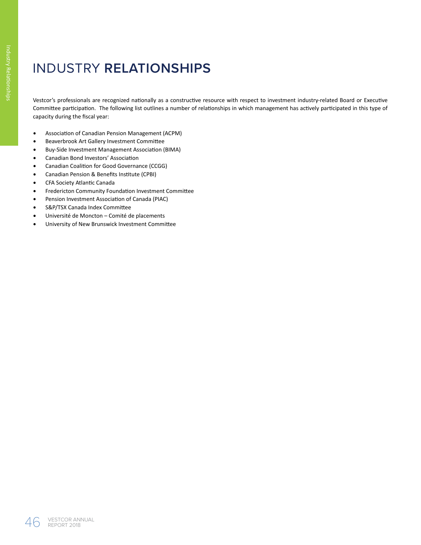# INDUSTRY **RELATIONSHIPS**

Vestcor's professionals are recognized nationally as a constructive resource with respect to investment industry-related Board or Executive Committee participation. The following list outlines a number of relationships in which management has actively participated in this type of capacity during the fiscal year:

- Association of Canadian Pension Management (ACPM)
- Beaverbrook Art Gallery Investment Committee
- Buy-Side Investment Management Association (BIMA)
- Canadian Bond Investors' Association
- Canadian Coalition for Good Governance (CCGG)
- Canadian Pension & Benefits Institute (CPBI)
- CFA Society Atlantic Canada
- Fredericton Community Foundation Investment Committee
- Pension Investment Association of Canada (PIAC)
- S&P/TSX Canada Index Committee
- Université de Moncton Comité de placements
- University of New Brunswick Investment Committee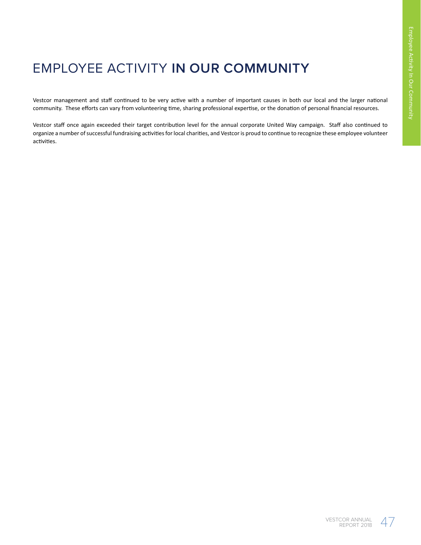# EMPLOYEE ACTIVITY **IN OUR COMMUNITY**

Vestcor management and staff continued to be very active with a number of important causes in both our local and the larger national community. These efforts can vary from volunteering time, sharing professional expertise, or the donation of personal financial resources.

Vestcor staff once again exceeded their target contribution level for the annual corporate United Way campaign. Staff also continued to organize a number of successful fundraising activities for local charities, and Vestcor is proud to continue to recognize these employee volunteer activities.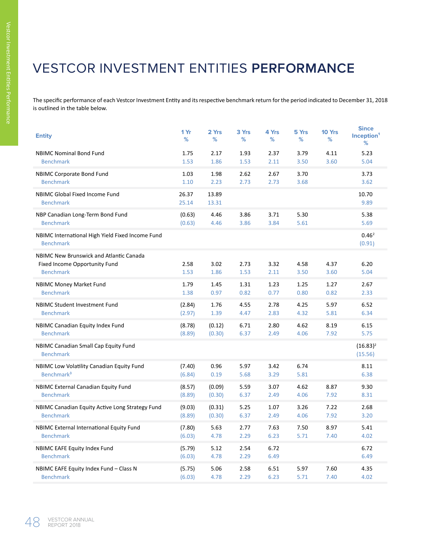# VESTCOR INVESTMENT ENTITIES **PERFORMANCE**

The specific performance of each Vestcor Investment Entity and its respective benchmark return for the period indicated to December 31, 2018 is outlined in the table below.

| <b>Entity</b>                                                        | 1 Yr<br>%        | 2 Yrs<br>%       | 3 Yrs<br>%   | 4 Yrs<br>%   | 5 Yrs<br>%   | 10 Yrs<br>%  | <b>Since</b><br>Inception <sup>1</sup><br>% |
|----------------------------------------------------------------------|------------------|------------------|--------------|--------------|--------------|--------------|---------------------------------------------|
| <b>NBIMC Nominal Bond Fund</b>                                       | 1.75             | 2.17             | 1.93         | 2.37         | 3.79         | 4.11         | 5.23                                        |
| <b>Benchmark</b>                                                     | 1.53             | 1.86             | 1.53         | 2.11         | 3.50         | 3.60         | 5.04                                        |
| <b>NBIMC Corporate Bond Fund</b>                                     | 1.03             | 1.98             | 2.62         | 2.67         | 3.70         |              | 3.73                                        |
| <b>Benchmark</b>                                                     | 1.10             | 2.23             | 2.73         | 2.73         | 3.68         |              | 3.62                                        |
| <b>NBIMC Global Fixed Income Fund</b>                                | 26.37            | 13.89            |              |              |              |              | 10.70                                       |
| <b>Benchmark</b>                                                     | 25.14            | 13.31            |              |              |              |              | 9.89                                        |
| NBP Canadian Long-Term Bond Fund                                     | (0.63)           | 4.46             | 3.86         | 3.71         | 5.30         |              | 5.38                                        |
| <b>Benchmark</b>                                                     | (0.63)           | 4.46             | 3.86         | 3.84         | 5.61         |              | 5.69                                        |
| NBIMC International High Yield Fixed Income Fund<br><b>Benchmark</b> |                  |                  |              |              |              |              | 0.46 <sup>2</sup><br>(0.91)                 |
| NBIMC New Brunswick and Atlantic Canada                              |                  |                  |              |              |              |              |                                             |
| Fixed Income Opportunity Fund                                        | 2.58             | 3.02             | 2.73         | 3.32         | 4.58         | 4.37         | 6.20                                        |
| <b>Benchmark</b>                                                     | 1.53             | 1.86             | 1.53         | 2.11         | 3.50         | 3.60         | 5.04                                        |
| <b>NBIMC Money Market Fund</b>                                       | 1.79             | 1.45             | 1.31         | 1.23         | 1.25         | 1.27         | 2.67                                        |
| <b>Benchmark</b>                                                     | 1.38             | 0.97             | 0.82         | 0.77         | 0.80         | 0.82         | 2.33                                        |
| NBIMC Student Investment Fund                                        | (2.84)           | 1.76             | 4.55         | 2.78         | 4.25         | 5.97         | 6.52                                        |
| <b>Benchmark</b>                                                     | (2.97)           | 1.39             | 4.47         | 2.83         | 4.32         | 5.81         | 6.34                                        |
| <b>NBIMC Canadian Equity Index Fund</b><br><b>Benchmark</b>          | (8.78)           | (0.12)           | 6.71<br>6.37 | 2.80<br>2.49 | 4.62<br>4.06 | 8.19<br>7.92 | 6.15<br>5.75                                |
|                                                                      | (8.89)           | (0.30)           |              |              |              |              |                                             |
| NBIMC Canadian Small Cap Equity Fund<br><b>Benchmark</b>             |                  |                  |              |              |              |              | $(16.83)^2$                                 |
|                                                                      |                  |                  |              |              |              |              | (15.56)                                     |
| NBIMC Low Volatility Canadian Equity Fund<br>Benchmark <sup>3</sup>  | (7.40)           | 0.96<br>0.19     | 5.97<br>5.68 | 3.42<br>3.29 | 6.74<br>5.81 |              | 8.11<br>6.38                                |
|                                                                      | (6.84)           |                  |              |              |              |              |                                             |
| NBIMC External Canadian Equity Fund<br><b>Benchmark</b>              | (8.57)<br>(8.89) | (0.09)<br>(0.30) | 5.59<br>6.37 | 3.07<br>2.49 | 4.62<br>4.06 | 8.87<br>7.92 | 9.30<br>8.31                                |
| NBIMC Canadian Equity Active Long Strategy Fund                      | (9.03)           | (0.31)           | 5.25         | 1.07         | 3.26         | 7.22         | 2.68                                        |
| <b>Benchmark</b>                                                     | (8.89)           | (0.30)           | 6.37         | 2.49         | 4.06         | 7.92         | 3.20                                        |
| NBIMC External International Equity Fund                             | (7.80)           | 5.63             | 2.77         | 7.63         | 7.50         | 8.97         | 5.41                                        |
| <b>Benchmark</b>                                                     | (6.03)           | 4.78             | 2.29         | 6.23         | 5.71         | 7.40         | 4.02                                        |
| NBIMC EAFE Equity Index Fund                                         | (5.79)           | 5.12             | 2.54         | 6.72         |              |              | 6.72                                        |
| <b>Benchmark</b>                                                     | (6.03)           | 4.78             | 2.29         | 6.49         |              |              | 6.49                                        |
| NBIMC EAFE Equity Index Fund - Class N                               | (5.75)           | 5.06             | 2.58         | 6.51         | 5.97         | 7.60         | 4.35                                        |
| <b>Benchmark</b>                                                     | (6.03)           | 4.78             | 2.29         | 6.23         | 5.71         | 7.40         | 4.02                                        |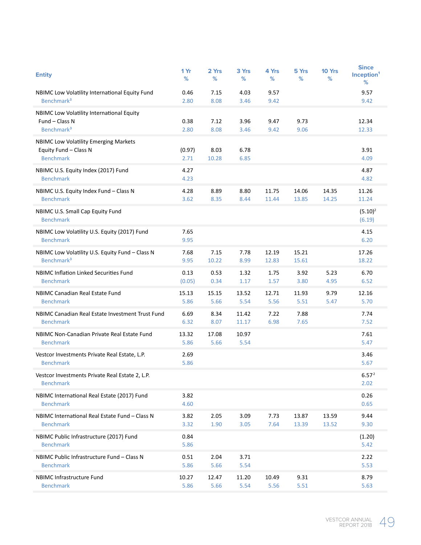| <b>Entity</b>                                                                             | 1 Yr<br>%      | 2 Yrs<br>%    | 3 Yrs<br>%     | 4 Yrs<br>%     | 5 Yrs<br>℅     | 10 Yrs<br>℅    | <b>Since</b><br>Inception <sup>1</sup><br>% |
|-------------------------------------------------------------------------------------------|----------------|---------------|----------------|----------------|----------------|----------------|---------------------------------------------|
| NBIMC Low Volatility International Equity Fund<br>Benchmark <sup>3</sup>                  | 0.46<br>2.80   | 7.15<br>8.08  | 4.03<br>3.46   | 9.57<br>9.42   |                |                | 9.57<br>9.42                                |
| NBIMC Low Volatility International Equity<br>Fund - Class N<br>Benchmark <sup>3</sup>     | 0.38<br>2.80   | 7.12<br>8.08  | 3.96<br>3.46   | 9.47<br>9.42   | 9.73<br>9.06   |                | 12.34<br>12.33                              |
| <b>NBIMC Low Volatility Emerging Markets</b><br>Equity Fund - Class N<br><b>Benchmark</b> | (0.97)<br>2.71 | 8.03<br>10.28 | 6.78<br>6.85   |                |                |                | 3.91<br>4.09                                |
| NBIMC U.S. Equity Index (2017) Fund<br><b>Benchmark</b>                                   | 4.27<br>4.23   |               |                |                |                |                | 4.87<br>4.82                                |
| NBIMC U.S. Equity Index Fund - Class N<br><b>Benchmark</b>                                | 4.28<br>3.62   | 8.89<br>8.35  | 8.80<br>8.44   | 11.75<br>11.44 | 14.06<br>13.85 | 14.35<br>14.25 | 11.26<br>11.24                              |
| NBIMC U.S. Small Cap Equity Fund<br><b>Benchmark</b>                                      |                |               |                |                |                |                | $(5.10)^2$<br>(6.19)                        |
| NBIMC Low Volatility U.S. Equity (2017) Fund<br><b>Benchmark</b>                          | 7.65<br>9.95   |               |                |                |                |                | 4.15<br>6.20                                |
| NBIMC Low Volatility U.S. Equity Fund - Class N<br>Benchmark <sup>3</sup>                 | 7.68<br>9.95   | 7.15<br>10.22 | 7.78<br>8.99   | 12.19<br>12.83 | 15.21<br>15.61 |                | 17.26<br>18.22                              |
| NBIMC Inflation Linked Securities Fund<br><b>Benchmark</b>                                | 0.13<br>(0.05) | 0.53<br>0.34  | 1.32<br>1.17   | 1.75<br>1.57   | 3.92<br>3.80   | 5.23<br>4.95   | 6.70<br>6.52                                |
| NBIMC Canadian Real Estate Fund<br><b>Benchmark</b>                                       | 15.13<br>5.86  | 15.15<br>5.66 | 13.52<br>5.54  | 12.71<br>5.56  | 11.93<br>5.51  | 9.79<br>5.47   | 12.16<br>5.70                               |
| NBIMC Canadian Real Estate Investment Trust Fund<br><b>Benchmark</b>                      | 6.69<br>6.32   | 8.34<br>8.07  | 11.42<br>11.17 | 7.22<br>6.98   | 7.88<br>7.65   |                | 7.74<br>7.52                                |
| NBIMC Non-Canadian Private Real Estate Fund<br><b>Benchmark</b>                           | 13.32<br>5.86  | 17.08<br>5.66 | 10.97<br>5.54  |                |                |                | 7.61<br>5.47                                |
| Vestcor Investments Private Real Estate, L.P.<br><b>Benchmark</b>                         | 2.69<br>5.86   |               |                |                |                |                | 3.46<br>5.67                                |
| Vestcor Investments Private Real Estate 2, L.P.<br><b>Benchmark</b>                       |                |               |                |                |                |                | 6.57 <sup>2</sup><br>2.02                   |
| NBIMC International Real Estate (2017) Fund<br><b>Benchmark</b>                           | 3.82<br>4.60   |               |                |                |                |                | 0.26<br>0.65                                |
| NBIMC International Real Estate Fund - Class N<br><b>Benchmark</b>                        | 3.82<br>3.32   | 2.05<br>1.90  | 3.09<br>3.05   | 7.73<br>7.64   | 13.87<br>13.39 | 13.59<br>13.52 | 9.44<br>9.30                                |
| NBIMC Public Infrastructure (2017) Fund<br><b>Benchmark</b>                               | 0.84<br>5.86   |               |                |                |                |                | (1.20)<br>5.42                              |
| NBIMC Public Infrastructure Fund - Class N<br><b>Benchmark</b>                            | 0.51<br>5.86   | 2.04<br>5.66  | 3.71<br>5.54   |                |                |                | 2.22<br>5.53                                |
| NBIMC Infrastructure Fund<br><b>Benchmark</b>                                             | 10.27<br>5.86  | 12.47<br>5.66 | 11.20<br>5.54  | 10.49<br>5.56  | 9.31<br>5.51   |                | 8.79<br>5.63                                |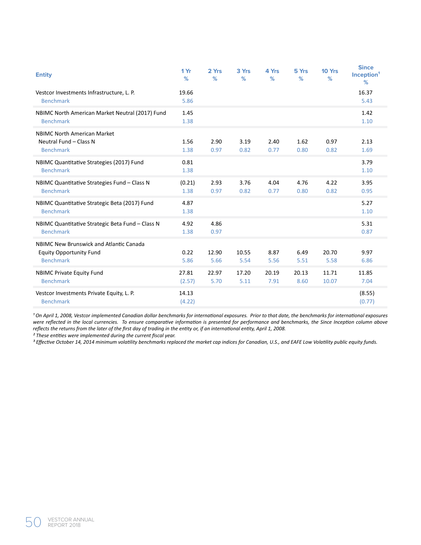| <b>Entity</b>                                                                                 | 1 Yr<br>%       | 2 Yrs<br>%    | 3 Yrs<br>%    | 4 Yrs<br>%    | 5 Yrs<br>%    | 10 Yrs<br>%    | <b>Since</b><br>Inception <sup>1</sup><br>% |
|-----------------------------------------------------------------------------------------------|-----------------|---------------|---------------|---------------|---------------|----------------|---------------------------------------------|
| Vestcor Investments Infrastructure, L. P.<br><b>Benchmark</b>                                 | 19.66<br>5.86   |               |               |               |               |                | 16.37<br>5.43                               |
| NBIMC North American Market Neutral (2017) Fund<br><b>Benchmark</b>                           | 1.45<br>1.38    |               |               |               |               |                | 1.42<br>1.10                                |
| NBIMC North American Market<br>Neutral Fund - Class N<br><b>Benchmark</b>                     | 1.56<br>1.38    | 2.90<br>0.97  | 3.19<br>0.82  | 2.40<br>0.77  | 1.62<br>0.80  | 0.97<br>0.82   | 2.13<br>1.69                                |
| NBIMC Quantitative Strategies (2017) Fund<br><b>Benchmark</b>                                 | 0.81<br>1.38    |               |               |               |               |                | 3.79<br>1.10                                |
| NBIMC Quantitative Strategies Fund - Class N<br><b>Benchmark</b>                              | (0.21)<br>1.38  | 2.93<br>0.97  | 3.76<br>0.82  | 4.04<br>0.77  | 4.76<br>0.80  | 4.22<br>0.82   | 3.95<br>0.95                                |
| NBIMC Quantitative Strategic Beta (2017) Fund<br><b>Benchmark</b>                             | 4.87<br>1.38    |               |               |               |               |                | 5.27<br>1.10                                |
| NBIMC Quantitative Strategic Beta Fund - Class N<br><b>Benchmark</b>                          | 4.92<br>1.38    | 4.86<br>0.97  |               |               |               |                | 5.31<br>0.87                                |
| NBIMC New Brunswick and Atlantic Canada<br><b>Equity Opportunity Fund</b><br><b>Benchmark</b> | 0.22<br>5.86    | 12.90<br>5.66 | 10.55<br>5.54 | 8.87<br>5.56  | 6.49<br>5.51  | 20.70<br>5.58  | 9.97<br>6.86                                |
| <b>NBIMC Private Equity Fund</b><br><b>Benchmark</b>                                          | 27.81<br>(2.57) | 22.97<br>5.70 | 17.20<br>5.11 | 20.19<br>7.91 | 20.13<br>8.60 | 11.71<br>10.07 | 11.85<br>7.04                               |
| Vestcor Investments Private Equity, L. P.<br><b>Benchmark</b>                                 | 14.13<br>(4.22) |               |               |               |               |                | (8.55)<br>(0.77)                            |

*¹ On April 1, 2008, Vestcor implemented Canadian dollar benchmarks for international exposures. Prior to that date, the benchmarks for international exposures were reflected in the local currencies. To ensure comparative information is presented for performance and benchmarks, the Since Inception column above reflects the returns from the later of the first day of trading in the entity or, if an international entity, April 1, 2008.*

*² These entities were implemented during the current fiscal year.*

*³ Effective October 14, 2014 minimum volatility benchmarks replaced the market cap indices for Canadian, U.S., and EAFE Low Volatility public equity funds.*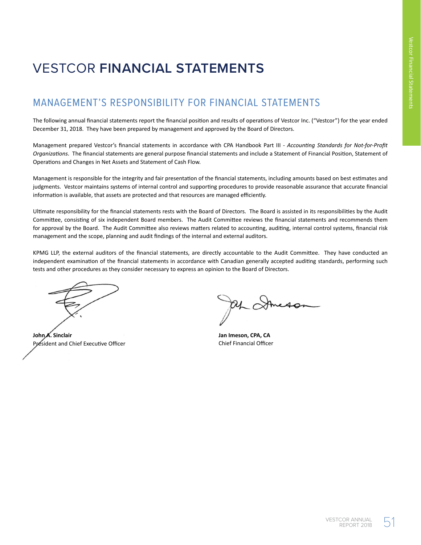# VESTCOR **FINANCIAL STATEMENTS**

### MANAGEMENT'S RESPONSIBILITY FOR FINANCIAL STATEMENTS

The following annual financial statements report the financial position and results of operations of Vestcor Inc. ("Vestcor") for the year ended December 31, 2018. They have been prepared by management and approved by the Board of Directors.

Management prepared Vestcor's financial statements in accordance with CPA Handbook Part III - *Accounting Standards for Not-for-Profit Organizations*. The financial statements are general purpose financial statements and include a Statement of Financial Position, Statement of Operations and Changes in Net Assets and Statement of Cash Flow.

Management is responsible for the integrity and fair presentation of the financial statements, including amounts based on best estimates and judgments. Vestcor maintains systems of internal control and supporting procedures to provide reasonable assurance that accurate financial information is available, that assets are protected and that resources are managed efficiently.

Ultimate responsibility for the financial statements rests with the Board of Directors. The Board is assisted in its responsibilities by the Audit Committee, consisting of six independent Board members. The Audit Committee reviews the financial statements and recommends them for approval by the Board. The Audit Committee also reviews matters related to accounting, auditing, internal control systems, financial risk management and the scope, planning and audit findings of the internal and external auditors.

KPMG LLP, the external auditors of the financial statements, are directly accountable to the Audit Committee. They have conducted an independent examination of the financial statements in accordance with Canadian generally accepted auditing standards, performing such tests and other procedures as they consider necessary to express an opinion to the Board of Directors.

**John A. Sinclair** President and Chief Executive Officer

af Stmess

**Jan Imeson, CPA, CA** Chief Financial Officer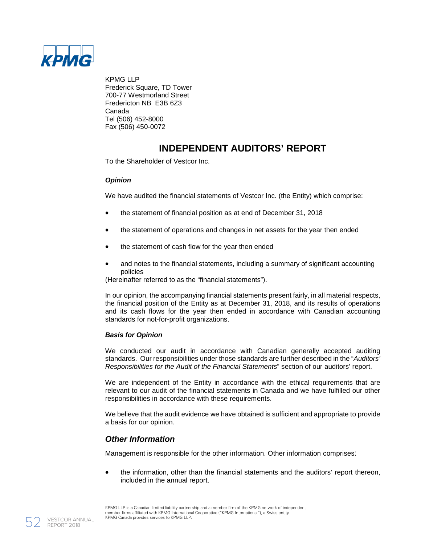

KPMG LLP Frederick Square, TD Tower 700-77 Westmorland Street Fredericton NB E3B 6Z3 Canada Tel (506) 452-8000 Fax (506) 450-0072

### **INDEPENDENT AUDITORS' REPORT**

To the Shareholder of Vestcor Inc.

### *Opinion*

We have audited the financial statements of Vestcor Inc. (the Entity) which comprise:

- the statement of financial position as at end of December 31, 2018
- the statement of operations and changes in net assets for the year then ended
- the statement of cash flow for the year then ended
- and notes to the financial statements, including a summary of significant accounting policies

(Hereinafter referred to as the "financial statements").

In our opinion, the accompanying financial statements present fairly, in all material respects, the financial position of the Entity as at December 31, 2018, and its results of operations and its cash flows for the year then ended in accordance with Canadian accounting standards for not-for-profit organizations.

### *Basis for Opinion*

We conducted our audit in accordance with Canadian generally accepted auditing standards. Our responsibilities under those standards are further described in the "*Auditors' Responsibilities for the Audit of the Financial Statements*" section of our auditors' report.

We are independent of the Entity in accordance with the ethical requirements that are relevant to our audit of the financial statements in Canada and we have fulfilled our other responsibilities in accordance with these requirements.

We believe that the audit evidence we have obtained is sufficient and appropriate to provide a basis for our opinion.

### *Other Information*

Management is responsible for the other information. Other information comprises:

• the information, other than the financial statements and the auditors' report thereon, included in the annual report.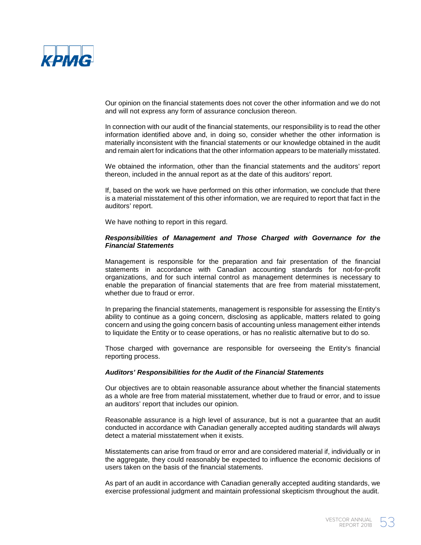

Our opinion on the financial statements does not cover the other information and we do not and will not express any form of assurance conclusion thereon.

In connection with our audit of the financial statements, our responsibility is to read the other information identified above and, in doing so, consider whether the other information is materially inconsistent with the financial statements or our knowledge obtained in the audit and remain alert for indications that the other information appears to be materially misstated.

We obtained the information, other than the financial statements and the auditors' report thereon, included in the annual report as at the date of this auditors' report.

If, based on the work we have performed on this other information, we conclude that there is a material misstatement of this other information, we are required to report that fact in the auditors' report.

We have nothing to report in this regard.

### *Responsibilities of Management and Those Charged with Governance for the Financial Statements*

Management is responsible for the preparation and fair presentation of the financial statements in accordance with Canadian accounting standards for not-for-profit organizations, and for such internal control as management determines is necessary to enable the preparation of financial statements that are free from material misstatement, whether due to fraud or error.

In preparing the financial statements, management is responsible for assessing the Entity's ability to continue as a going concern, disclosing as applicable, matters related to going concern and using the going concern basis of accounting unless management either intends to liquidate the Entity or to cease operations, or has no realistic alternative but to do so.

Those charged with governance are responsible for overseeing the Entity's financial reporting process.

### *Auditors' Responsibilities for the Audit of the Financial Statements*

Our objectives are to obtain reasonable assurance about whether the financial statements as a whole are free from material misstatement, whether due to fraud or error, and to issue an auditors' report that includes our opinion.

Reasonable assurance is a high level of assurance, but is not a guarantee that an audit conducted in accordance with Canadian generally accepted auditing standards will always detect a material misstatement when it exists.

Misstatements can arise from fraud or error and are considered material if, individually or in the aggregate, they could reasonably be expected to influence the economic decisions of users taken on the basis of the financial statements.

As part of an audit in accordance with Canadian generally accepted auditing standards, we exercise professional judgment and maintain professional skepticism throughout the audit.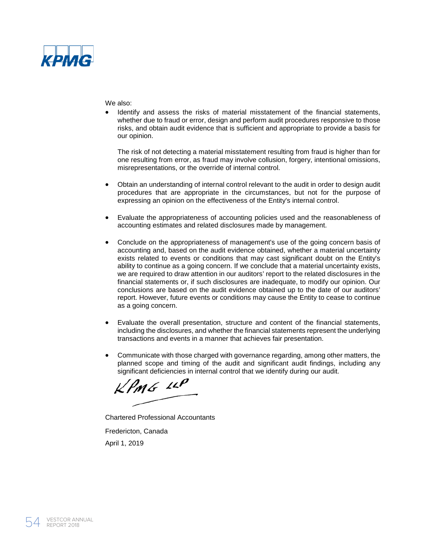

We also:

• Identify and assess the risks of material misstatement of the financial statements, whether due to fraud or error, design and perform audit procedures responsive to those risks, and obtain audit evidence that is sufficient and appropriate to provide a basis for our opinion.

The risk of not detecting a material misstatement resulting from fraud is higher than for one resulting from error, as fraud may involve collusion, forgery, intentional omissions, misrepresentations, or the override of internal control.

- Obtain an understanding of internal control relevant to the audit in order to design audit procedures that are appropriate in the circumstances, but not for the purpose of expressing an opinion on the effectiveness of the Entity's internal control.
- Evaluate the appropriateness of accounting policies used and the reasonableness of accounting estimates and related disclosures made by management.
- Conclude on the appropriateness of management's use of the going concern basis of accounting and, based on the audit evidence obtained, whether a material uncertainty exists related to events or conditions that may cast significant doubt on the Entity's ability to continue as a going concern. If we conclude that a material uncertainty exists, we are required to draw attention in our auditors' report to the related disclosures in the financial statements or, if such disclosures are inadequate, to modify our opinion. Our conclusions are based on the audit evidence obtained up to the date of our auditors' report. However, future events or conditions may cause the Entity to cease to continue as a going concern.
- Evaluate the overall presentation, structure and content of the financial statements, including the disclosures, and whether the financial statements represent the underlying transactions and events in a manner that achieves fair presentation.
- Communicate with those charged with governance regarding, among other matters, the planned scope and timing of the audit and significant audit findings, including any significant deficiencies in internal control that we identify during our audit.

 $k$ PMG  $10$ 

Chartered Professional Accountants Fredericton, Canada April 1, 2019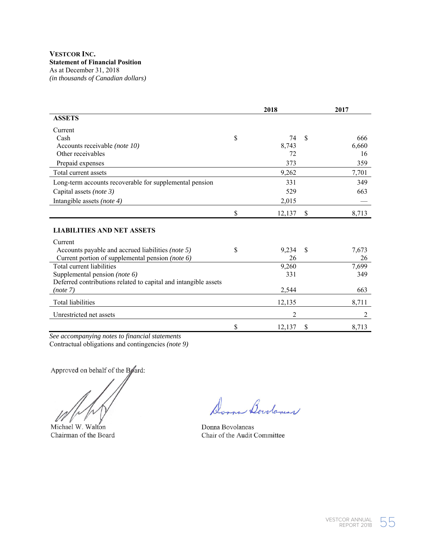|                                                                 | 2018         |               | 2017  |  |
|-----------------------------------------------------------------|--------------|---------------|-------|--|
| <b>ASSETS</b>                                                   |              |               |       |  |
| Current                                                         |              |               |       |  |
| Cash                                                            | \$<br>74     | <sup>\$</sup> | 666   |  |
| Accounts receivable (note 10)                                   | 8.743        |               | 6,660 |  |
| Other receivables                                               | 72           |               | 16    |  |
| Prepaid expenses                                                | 373          |               | 359   |  |
| Total current assets                                            | 9,262        |               | 7,701 |  |
| Long-term accounts recoverable for supplemental pension         | 331          |               | 349   |  |
| Capital assets (note 3)                                         | 529          |               | 663   |  |
| Intangible assets (note 4)                                      | 2,015        |               |       |  |
|                                                                 | \$<br>12,137 | \$            | 8,713 |  |
| <b>LIABILITIES AND NET ASSETS</b>                               |              |               |       |  |
| Current                                                         |              |               |       |  |
| Accounts payable and accrued liabilities (note 5)               | \$<br>9,234  | <sup>\$</sup> | 7,673 |  |
| Current portion of supplemental pension (note 6)                | 26           |               | 26    |  |
| Total current liabilities                                       | 9,260        |               | 7,699 |  |
| Supplemental pension (note 6)                                   | 331          |               | 349   |  |
| Deferred contributions related to capital and intangible assets |              |               |       |  |
| (note 7)                                                        | 2,544        |               | 663   |  |
| Total liabilities                                               | 12,135       |               | 8,711 |  |
| Unrestricted net assets                                         | 2            |               | 2     |  |
|                                                                 | \$<br>12,137 | S             | 8,713 |  |

*See accompanying notes to financial statements*  Contractual obligations and contingencies *(note 9)* 

Approved on behalf of the Board:

Michael W. Walton Donna Bovolaneas

m Bowlanes

Chairman of the Board Chair of the Audit Committee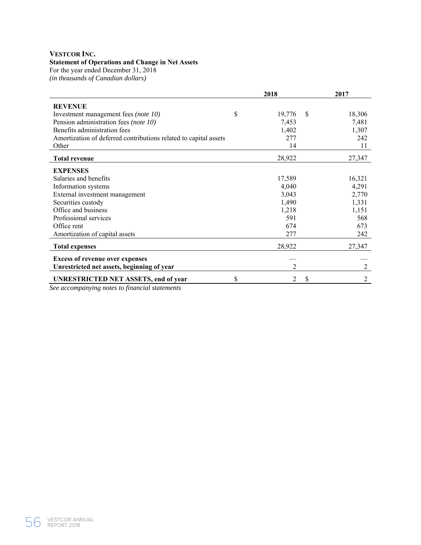### **VESTCOR INC.**

### **Statement of Operations and Change in Net Assets**

For the year ended December 31, 2018

*(in thousands of Canadian dollars)* 

|                                                                                                    | 2018           | 2017                    |
|----------------------------------------------------------------------------------------------------|----------------|-------------------------|
| <b>REVENUE</b>                                                                                     |                |                         |
| Investment management fees (note 10)                                                               | \$<br>19,776   | <sup>\$</sup><br>18,306 |
| Pension administration fees (note 10)                                                              | 7,453          | 7,481                   |
| Benefits administration fees                                                                       | 1,402          | 1,307                   |
| Amortization of deferred contributions related to capital assets                                   | 277            | 242                     |
| Other                                                                                              | 14             | 11                      |
| <b>Total revenue</b>                                                                               | 28,922         | 27,347                  |
| <b>EXPENSES</b>                                                                                    |                |                         |
| Salaries and benefits                                                                              | 17,589         | 16,321                  |
| Information systems                                                                                | 4,040          | 4,291                   |
| External investment management                                                                     | 3,043          | 2,770                   |
| Securities custody                                                                                 | 1,490          | 1,331                   |
| Office and business                                                                                | 1,218          | 1,151                   |
| Professional services                                                                              | 591            | 568                     |
| Office rent                                                                                        | 674            | 673                     |
| Amortization of capital assets                                                                     | 277            | 242                     |
| <b>Total expenses</b>                                                                              | 28,922         | 27,347                  |
| <b>Excess of revenue over expenses</b>                                                             |                |                         |
| Unrestricted net assets, beginning of year                                                         | $\mathfrak{D}$ | 2                       |
| <b>UNRESTRICTED NET ASSETS, end of year</b><br>Can googay guude a notes to finger sigl staten ento | \$<br>2        | S<br>2                  |

*See accompanying notes to financial statements*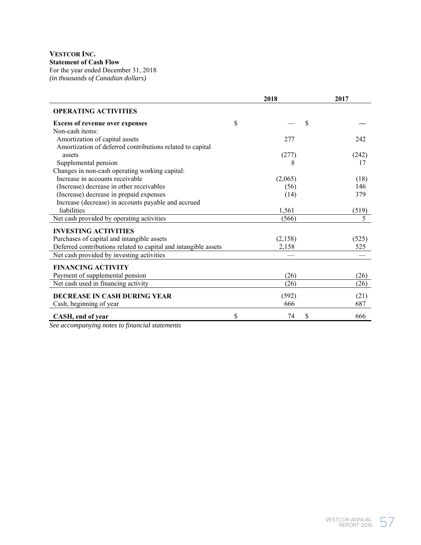### **VESTCOR INC. Statement of Cash Flow**  For the year ended December 31, 2018 *(in thousands of Canadian dollars)*

|                                                                 | 2018     | 2017      |
|-----------------------------------------------------------------|----------|-----------|
| <b>OPERATING ACTIVITIES</b>                                     |          |           |
| <b>Excess of revenue over expenses</b>                          | \$       | \$        |
| Non-cash items:                                                 |          |           |
| Amortization of capital assets                                  | 277      | 242       |
| Amortization of deferred contributions related to capital       |          |           |
| assets                                                          | (277)    | (242)     |
| Supplemental pension                                            | 8        | 17        |
| Changes in non-cash operating working capital:                  |          |           |
| Increase in accounts receivable                                 | (2,065)  | (18)      |
| (Increase) decrease in other receivables                        | (56)     | 146       |
| (Increase) decrease in prepaid expenses                         | (14)     | 379       |
| Increase (decrease) in accounts payable and accrued             |          |           |
| liabilities                                                     | 1,561    | (519)     |
| Net cash provided by operating activities                       | (566)    | 5         |
| <b>INVESTING ACTIVITIES</b>                                     |          |           |
| Purchases of capital and intangible assets                      | (2,158)  | (525)     |
| Deferred contributions related to capital and intangible assets | 2,158    | 525       |
| Net cash provided by investing activities                       |          |           |
| <b>FINANCING ACTIVITY</b>                                       |          |           |
| Payment of supplemental pension                                 | (26)     | (26)      |
| Net cash used in financing activity                             | (26)     | (26)      |
| DECREASE IN CASH DURING YEAR                                    | (592)    | (21)      |
| Cash, beginning of year                                         | 666      | 687       |
| CASH, end of year                                               | \$<br>74 | \$<br>666 |

*See accompanying notes to financial statements*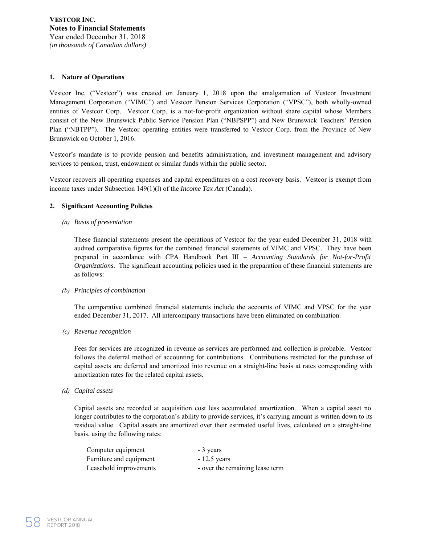### **1. Nature of Operations**

Vestcor Inc. ("Vestcor") was created on January 1, 2018 upon the amalgamation of Vestcor Investment Management Corporation ("VIMC") and Vestcor Pension Services Corporation ("VPSC"), both wholly-owned entities of Vestcor Corp. Vestcor Corp. is a not-for-profit organization without share capital whose Members consist of the New Brunswick Public Service Pension Plan ("NBPSPP") and New Brunswick Teachers' Pension Plan ("NBTPP"). The Vestcor operating entities were transferred to Vestcor Corp. from the Province of New Brunswick on October 1, 2016.

Vestcor's mandate is to provide pension and benefits administration, and investment management and advisory services to pension, trust, endowment or similar funds within the public sector.

Vestcor recovers all operating expenses and capital expenditures on a cost recovery basis. Vestcor is exempt from income taxes under Subsection 149(1)(l) of the *Income Tax Act* (Canada).

### **2. Significant Accounting Policies**

*(a) Basis of presentation*

These financial statements present the operations of Vestcor for the year ended December 31, 2018 with audited comparative figures for the combined financial statements of VIMC and VPSC. They have been prepared in accordance with CPA Handbook Part III – *Accounting Standards for Not-for-Profit Organizations*. The significant accounting policies used in the preparation of these financial statements are as follows:

### *(b) Principles of combination*

The comparative combined financial statements include the accounts of VIMC and VPSC for the year ended December 31, 2017. All intercompany transactions have been eliminated on combination.

*(c) Revenue recognition*

Fees for services are recognized in revenue as services are performed and collection is probable. Vestcor follows the deferral method of accounting for contributions. Contributions restricted for the purchase of capital assets are deferred and amortized into revenue on a straight-line basis at rates corresponding with amortization rates for the related capital assets.

*(d) Capital assets*

Capital assets are recorded at acquisition cost less accumulated amortization. When a capital asset no longer contributes to the corporation's ability to provide services, it's carrying amount is written down to its residual value. Capital assets are amortized over their estimated useful lives, calculated on a straight-line basis, using the following rates:

| Computer equipment      | - 3 years                       |
|-------------------------|---------------------------------|
| Furniture and equipment | $-12.5$ years                   |
| Leasehold improvements  | - over the remaining lease term |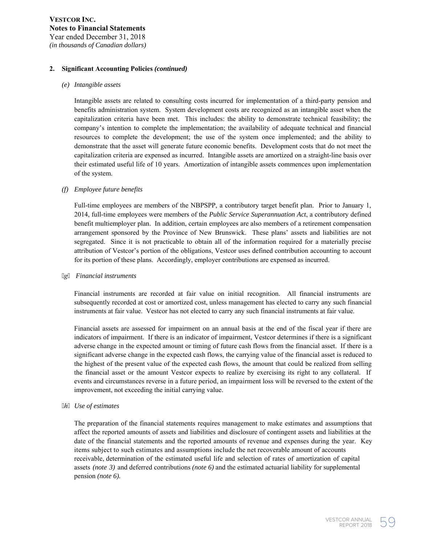### **2. Significant Accounting Policies** *(continued)*

### *(e) Intangible assets*

Intangible assets are related to consulting costs incurred for implementation of a third-party pension and benefits administration system. System development costs are recognized as an intangible asset when the capitalization criteria have been met. This includes: the ability to demonstrate technical feasibility; the company's intention to complete the implementation; the availability of adequate technical and financial resources to complete the development; the use of the system once implemented; and the ability to demonstrate that the asset will generate future economic benefits. Development costs that do not meet the capitalization criteria are expensed as incurred. Intangible assets are amortized on a straight-line basis over their estimated useful life of 10 years. Amortization of intangible assets commences upon implementation of the system.

### *(f) Employee future benefits*

Full-time employees are members of the NBPSPP, a contributory target benefit plan. Prior to January 1, 2014, full-time employees were members of the *Public Service Superannuation Act*, a contributory defined benefit multiemployer plan. In addition, certain employees are also members of a retirement compensation arrangement sponsored by the Province of New Brunswick. These plans' assets and liabilities are not segregated. Since it is not practicable to obtain all of the information required for a materially precise attribution of Vestcor's portion of the obligations, Vestcor uses defined contribution accounting to account for its portion of these plans. Accordingly, employer contributions are expensed as incurred.

### *g Financial instruments*

Financial instruments are recorded at fair value on initial recognition. All financial instruments are subsequently recorded at cost or amortized cost, unless management has elected to carry any such financial instruments at fair value. Vestcor has not elected to carry any such financial instruments at fair value.

Financial assets are assessed for impairment on an annual basis at the end of the fiscal year if there are indicators of impairment. If there is an indicator of impairment, Vestcor determines if there is a significant adverse change in the expected amount or timing of future cash flows from the financial asset. If there is a significant adverse change in the expected cash flows, the carrying value of the financial asset is reduced to the highest of the present value of the expected cash flows, the amount that could be realized from selling the financial asset or the amount Vestcor expects to realize by exercising its right to any collateral. If events and circumstances reverse in a future period, an impairment loss will be reversed to the extent of the improvement, not exceeding the initial carrying value.

### *h Use of estimates*

The preparation of the financial statements requires management to make estimates and assumptions that affect the reported amounts of assets and liabilities and disclosure of contingent assets and liabilities at the date of the financial statements and the reported amounts of revenue and expenses during the year. Key items subject to such estimates and assumptions include the net recoverable amount of accounts receivable, determination of the estimated useful life and selection of rates of amortization of capital assets *(note 3)* and deferred contributions *(note 6)* and the estimated actuarial liability for supplemental pension *(note 6).*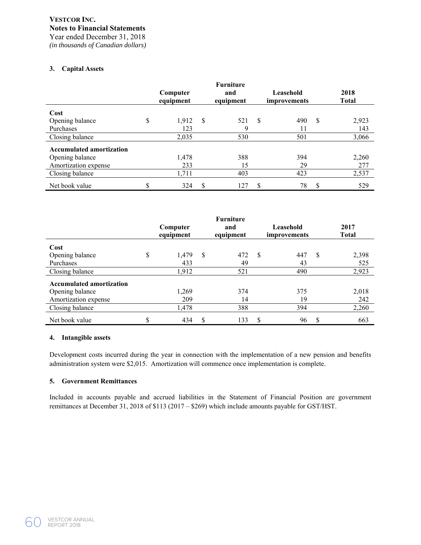*(in thousands of Canadian dollars)*

### **3. Capital Assets**

|                                 | Computer<br>equipment |    | <b>Furniture</b><br>and<br>equipment |               | Leasehold<br>improvements |               | 2018<br><b>Total</b> |
|---------------------------------|-----------------------|----|--------------------------------------|---------------|---------------------------|---------------|----------------------|
| Cost                            |                       |    |                                      |               |                           |               |                      |
| Opening balance                 | \$<br>1,912           | -S | 521                                  | <sup>\$</sup> | 490                       | <sup>\$</sup> | 2,923                |
| Purchases                       | 123                   |    | 9                                    |               | 11                        |               | 143                  |
| Closing balance                 | 2,035                 |    | 530                                  |               | 501                       |               | 3,066                |
| <b>Accumulated amortization</b> |                       |    |                                      |               |                           |               |                      |
| Opening balance                 | 1,478                 |    | 388                                  |               | 394                       |               | 2,260                |
| Amortization expense            | 233                   |    | 15                                   |               | 29                        |               | 277                  |
| Closing balance                 | 1,711                 |    | 403                                  |               | 423                       |               | 2,537                |
| Net book value                  | \$<br>324             | \$ | 127                                  | \$            | 78                        | \$            | 529                  |

|                                 | <b>Furniture</b><br>Leasehold<br>Computer<br>and<br>equipment<br>equipment |       | improvements | 2017<br><b>Total</b> |               |     |               |       |
|---------------------------------|----------------------------------------------------------------------------|-------|--------------|----------------------|---------------|-----|---------------|-------|
| Cost                            |                                                                            |       |              |                      |               |     |               |       |
| Opening balance                 | \$                                                                         | 1,479 | \$           | 472                  | <sup>\$</sup> | 447 | <sup>\$</sup> | 2,398 |
| Purchases                       |                                                                            | 433   |              | 49                   |               | 43  |               | 525   |
| Closing balance                 |                                                                            | 1,912 |              | 521                  |               | 490 |               | 2,923 |
| <b>Accumulated amortization</b> |                                                                            |       |              |                      |               |     |               |       |
| Opening balance                 |                                                                            | 1,269 |              | 374                  |               | 375 |               | 2,018 |
| Amortization expense            |                                                                            | 209   |              | 14                   |               | 19  |               | 242   |
| Closing balance                 |                                                                            | 1,478 |              | 388                  |               | 394 |               | 2,260 |
| Net book value                  | Φ                                                                          | 434   | S            | 133                  | S             | 96  | S             | 663   |

### **4. Intangible assets**

Development costs incurred during the year in connection with the implementation of a new pension and benefits administration system were \$2,015. Amortization will commence once implementation is complete.

### **5. Government Remittances**

Included in accounts payable and accrued liabilities in the Statement of Financial Position are government remittances at December 31, 2018 of \$113 (2017 – \$269) which include amounts payable for GST/HST.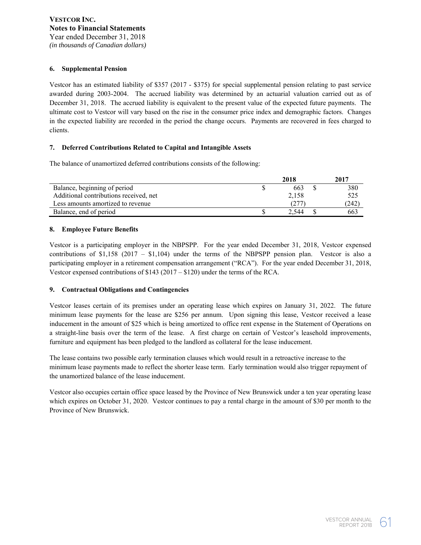### **6. Supplemental Pension**

Vestcor has an estimated liability of \$357 (2017 - \$375) for special supplemental pension relating to past service awarded during 2003-2004. The accrued liability was determined by an actuarial valuation carried out as of December 31, 2018. The accrued liability is equivalent to the present value of the expected future payments. The ultimate cost to Vestcor will vary based on the rise in the consumer price index and demographic factors. Changes in the expected liability are recorded in the period the change occurs. Payments are recovered in fees charged to clients.

### **7. Deferred Contributions Related to Capital and Intangible Assets**

The balance of unamortized deferred contributions consists of the following:

|                                        | 2018  | 2017  |
|----------------------------------------|-------|-------|
| Balance, beginning of period           | 663   | 380   |
| Additional contributions received, net | 2.158 | 525   |
| Less amounts amortized to revenue      | 1277  | (242) |
| Balance, end of period                 | 2.544 | 663   |

### **8. Employee Future Benefits**

Vestcor is a participating employer in the NBPSPP. For the year ended December 31, 2018, Vestcor expensed contributions of  $$1,158$  (2017 –  $$1,104$ ) under the terms of the NBPSPP pension plan. Vestcor is also a participating employer in a retirement compensation arrangement ("RCA"). For the year ended December 31, 2018, Vestcor expensed contributions of \$143 (2017 – \$120) under the terms of the RCA.

### **9. Contractual Obligations and Contingencies**

Vestcor leases certain of its premises under an operating lease which expires on January 31, 2022. The future minimum lease payments for the lease are \$256 per annum. Upon signing this lease, Vestcor received a lease inducement in the amount of \$25 which is being amortized to office rent expense in the Statement of Operations on a straight-line basis over the term of the lease. A first charge on certain of Vestcor's leasehold improvements, furniture and equipment has been pledged to the landlord as collateral for the lease inducement.

The lease contains two possible early termination clauses which would result in a retroactive increase to the minimum lease payments made to reflect the shorter lease term. Early termination would also trigger repayment of the unamortized balance of the lease inducement.

Vestcor also occupies certain office space leased by the Province of New Brunswick under a ten year operating lease which expires on October 31, 2020. Vestcor continues to pay a rental charge in the amount of \$30 per month to the Province of New Brunswick.